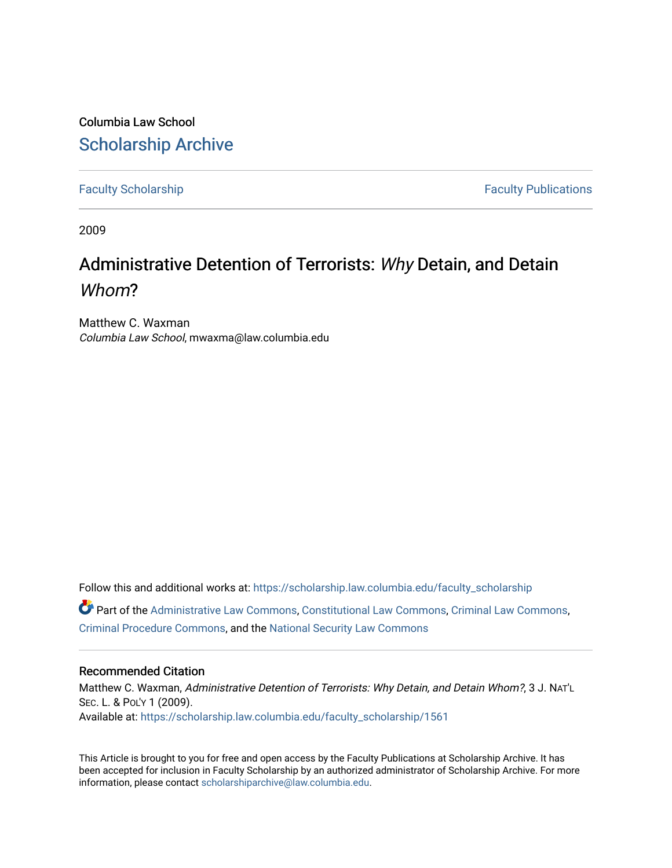Columbia Law School [Scholarship Archive](https://scholarship.law.columbia.edu/) 

[Faculty Scholarship](https://scholarship.law.columbia.edu/faculty_scholarship) **Faculty Scholarship Faculty Publications** 

2009

# Administrative Detention of Terrorists: Why Detain, and Detain Whom?

Matthew C. Waxman Columbia Law School, mwaxma@law.columbia.edu

Follow this and additional works at: [https://scholarship.law.columbia.edu/faculty\\_scholarship](https://scholarship.law.columbia.edu/faculty_scholarship?utm_source=scholarship.law.columbia.edu%2Ffaculty_scholarship%2F1561&utm_medium=PDF&utm_campaign=PDFCoverPages)  $\bullet$  Part of the [Administrative Law Commons,](http://network.bepress.com/hgg/discipline/579?utm_source=scholarship.law.columbia.edu%2Ffaculty_scholarship%2F1561&utm_medium=PDF&utm_campaign=PDFCoverPages) [Constitutional Law Commons,](http://network.bepress.com/hgg/discipline/589?utm_source=scholarship.law.columbia.edu%2Ffaculty_scholarship%2F1561&utm_medium=PDF&utm_campaign=PDFCoverPages) [Criminal Law Commons](http://network.bepress.com/hgg/discipline/912?utm_source=scholarship.law.columbia.edu%2Ffaculty_scholarship%2F1561&utm_medium=PDF&utm_campaign=PDFCoverPages), [Criminal Procedure Commons,](http://network.bepress.com/hgg/discipline/1073?utm_source=scholarship.law.columbia.edu%2Ffaculty_scholarship%2F1561&utm_medium=PDF&utm_campaign=PDFCoverPages) and the [National Security Law Commons](http://network.bepress.com/hgg/discipline/1114?utm_source=scholarship.law.columbia.edu%2Ffaculty_scholarship%2F1561&utm_medium=PDF&utm_campaign=PDFCoverPages) 

## Recommended Citation

Matthew C. Waxman, Administrative Detention of Terrorists: Why Detain, and Detain Whom?, 3 J. NAT'L SEC. L. & POL'Y 1 (2009). Available at: [https://scholarship.law.columbia.edu/faculty\\_scholarship/1561](https://scholarship.law.columbia.edu/faculty_scholarship/1561?utm_source=scholarship.law.columbia.edu%2Ffaculty_scholarship%2F1561&utm_medium=PDF&utm_campaign=PDFCoverPages)

This Article is brought to you for free and open access by the Faculty Publications at Scholarship Archive. It has been accepted for inclusion in Faculty Scholarship by an authorized administrator of Scholarship Archive. For more information, please contact [scholarshiparchive@law.columbia.edu.](mailto:scholarshiparchive@law.columbia.edu)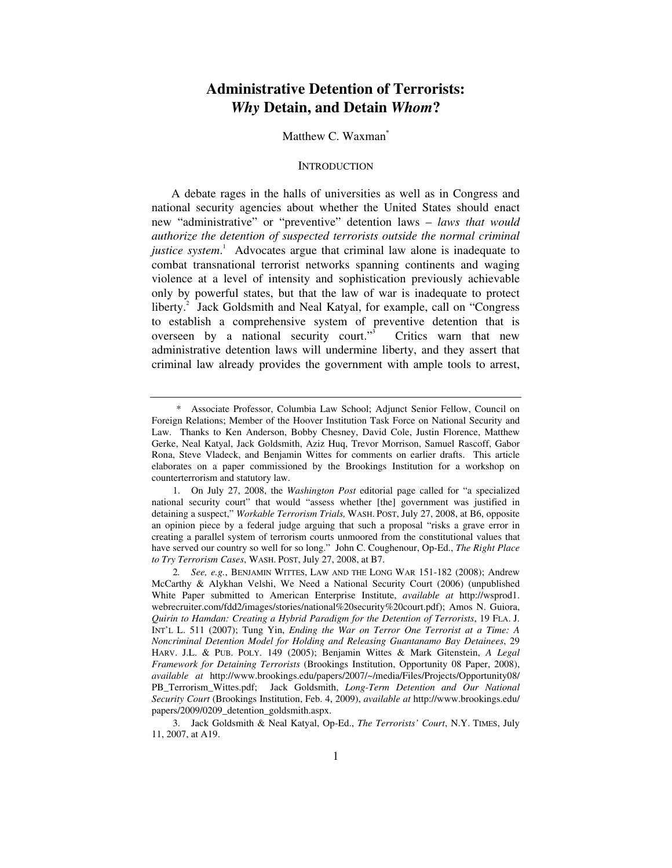# **Administrative Detention of Terrorists:**  *Why* **Detain, and Detain** *Whom***?**

#### Matthew C. Waxman**\***

#### **INTRODUCTION**

A debate rages in the halls of universities as well as in Congress and national security agencies about whether the United States should enact new "administrative" or "preventive" detention laws – *laws that would authorize the detention of suspected terrorists outside the normal criminal justice system*. 1 Advocates argue that criminal law alone is inadequate to combat transnational terrorist networks spanning continents and waging violence at a level of intensity and sophistication previously achievable only by powerful states, but that the law of war is inadequate to protect liberty.<sup>2</sup> Jack Goldsmith and Neal Katyal, for example, call on "Congress to establish a comprehensive system of preventive detention that is overseen by a national security court."<sup>3</sup> Critics warn that new administrative detention laws will undermine liberty, and they assert that criminal law already provides the government with ample tools to arrest,

 <sup>\*</sup> Associate Professor, Columbia Law School; Adjunct Senior Fellow, Council on Foreign Relations; Member of the Hoover Institution Task Force on National Security and Law. Thanks to Ken Anderson, Bobby Chesney, David Cole, Justin Florence, Matthew Gerke, Neal Katyal, Jack Goldsmith, Aziz Huq, Trevor Morrison, Samuel Rascoff, Gabor Rona, Steve Vladeck, and Benjamin Wittes for comments on earlier drafts. This article elaborates on a paper commissioned by the Brookings Institution for a workshop on counterterrorism and statutory law.

 <sup>1.</sup> On July 27, 2008, the *Washington Post* editorial page called for "a specialized national security court" that would "assess whether [the] government was justified in detaining a suspect," *Workable Terrorism Trials,* WASH. POST, July 27, 2008, at B6, opposite an opinion piece by a federal judge arguing that such a proposal "risks a grave error in creating a parallel system of terrorism courts unmoored from the constitutional values that have served our country so well for so long." John C. Coughenour, Op-Ed., *The Right Place to Try Terrorism Cases*, WASH. POST, July 27, 2008, at B7.

<sup>2</sup>*. See, e.g.*, BENJAMIN WITTES, LAW AND THE LONG WAR 151-182 (2008); Andrew McCarthy & Alykhan Velshi, We Need a National Security Court (2006) (unpublished White Paper submitted to American Enterprise Institute, *available at* http://wsprod1. webrecruiter.com/fdd2/images/stories/national%20security%20court.pdf); Amos N. Guiora, *Quirin to Hamdan: Creating a Hybrid Paradigm for the Detention of Terrorists*, 19 FLA. J. INT'L L. 511 (2007); Tung Yin, *Ending the War on Terror One Terrorist at a Time: A Noncriminal Detention Model for Holding and Releasing Guantanamo Bay Detainees*, 29 HARV. J.L. & PUB. POLY. 149 (2005); Benjamin Wittes & Mark Gitenstein, *A Legal Framework for Detaining Terrorists* (Brookings Institution, Opportunity 08 Paper, 2008), *available at* http://www.brookings.edu/papers/2007/~/media/Files/Projects/Opportunity08/ PB\_Terrorism\_Wittes.pdf; Jack Goldsmith, *Long-Term Detention and Our National Security Court* (Brookings Institution, Feb. 4, 2009), *available at* http://www.brookings.edu/ papers/2009/0209\_detention\_goldsmith.aspx.

 <sup>3.</sup> Jack Goldsmith & Neal Katyal, Op-Ed., *The Terrorists' Court*, N.Y. TIMES, July 11, 2007, at A19.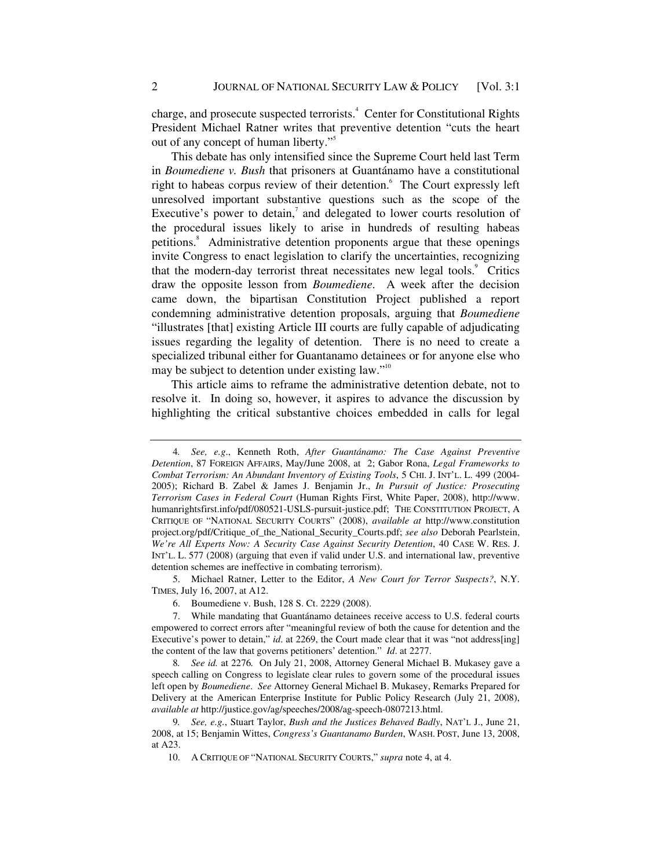charge, and prosecute suspected terrorists.<sup>4</sup> Center for Constitutional Rights President Michael Ratner writes that preventive detention "cuts the heart out of any concept of human liberty."5

This debate has only intensified since the Supreme Court held last Term in *Boumediene v. Bush* that prisoners at Guantánamo have a constitutional right to habeas corpus review of their detention.<sup>6</sup> The Court expressly left unresolved important substantive questions such as the scope of the Executive's power to detain, $\overline{7}$  and delegated to lower courts resolution of the procedural issues likely to arise in hundreds of resulting habeas petitions.<sup>8</sup> Administrative detention proponents argue that these openings invite Congress to enact legislation to clarify the uncertainties, recognizing that the modern-day terrorist threat necessitates new legal tools.<sup>9</sup> Critics draw the opposite lesson from *Boumediene*. A week after the decision came down, the bipartisan Constitution Project published a report condemning administrative detention proposals, arguing that *Boumediene*  "illustrates [that] existing Article III courts are fully capable of adjudicating issues regarding the legality of detention. There is no need to create a specialized tribunal either for Guantanamo detainees or for anyone else who may be subject to detention under existing law."<sup>10</sup>

This article aims to reframe the administrative detention debate, not to resolve it. In doing so, however, it aspires to advance the discussion by highlighting the critical substantive choices embedded in calls for legal

 5. Michael Ratner, Letter to the Editor, *A New Court for Terror Suspects?*, N.Y. TIMES, July 16, 2007, at A12.

<sup>4</sup>*. See, e.g*., Kenneth Roth, *After Guantánamo: The Case Against Preventive Detention*, 87 FOREIGN AFFAIRS, May/June 2008, at 2; Gabor Rona, *Legal Frameworks to Combat Terrorism: An Abundant Inventory of Existing Tools*, 5 CHI. J. INT'L. L. 499 (2004- 2005); Richard B. Zabel & James J. Benjamin Jr., *In Pursuit of Justice: Prosecuting Terrorism Cases in Federal Court* (Human Rights First, White Paper, 2008), http://www. humanrightsfirst.info/pdf/080521-USLS-pursuit-justice.pdf; THE CONSTITUTION PROJECT, A CRITIQUE OF "NATIONAL SECURITY COURTS" (2008), *available at* http://www.constitution project.org/pdf/Critique\_of\_the\_National\_Security\_Courts.pdf; *see also* Deborah Pearlstein, *We're All Experts Now: A Security Case Against Security Detention*, 40 CASE W. RES. J. INT'L. L. 577 (2008) (arguing that even if valid under U.S. and international law, preventive detention schemes are ineffective in combating terrorism).

 <sup>6.</sup> Boumediene v. Bush, 128 S. Ct. 2229 (2008).

 <sup>7.</sup> While mandating that Guantánamo detainees receive access to U.S. federal courts empowered to correct errors after "meaningful review of both the cause for detention and the Executive's power to detain," *id.* at 2269, the Court made clear that it was "not address[ing] the content of the law that governs petitioners' detention." *Id*. at 2277.

<sup>8</sup>*. See id.* at 2276*.* On July 21, 2008, Attorney General Michael B. Mukasey gave a speech calling on Congress to legislate clear rules to govern some of the procedural issues left open by *Boumediene*. *See* Attorney General Michael B. Mukasey, Remarks Prepared for Delivery at the American Enterprise Institute for Public Policy Research (July 21, 2008), *available at* http://justice.gov/ag/speeches/2008/ag-speech-0807213.html.

<sup>9</sup>*. See, e.g.*, Stuart Taylor, *Bush and the Justices Behaved Badly*, NAT'L J., June 21, 2008, at 15; Benjamin Wittes, *Congress's Guantanamo Burden*, WASH. POST, June 13, 2008, at A23.

 <sup>10.</sup> A CRITIQUE OF "NATIONAL SECURITY COURTS," *supra* note 4, at 4.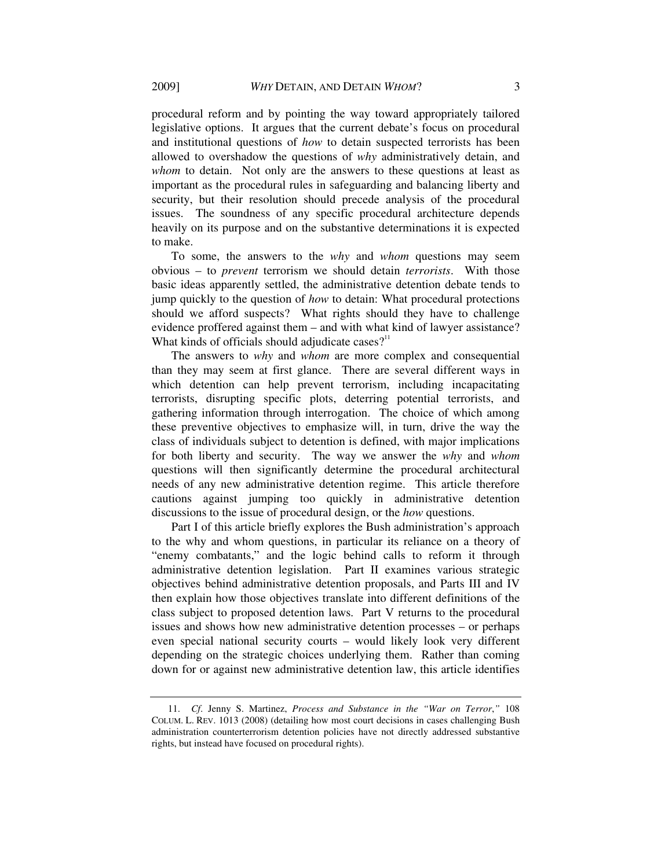procedural reform and by pointing the way toward appropriately tailored legislative options. It argues that the current debate's focus on procedural and institutional questions of *how* to detain suspected terrorists has been allowed to overshadow the questions of *why* administratively detain, and *whom* to detain. Not only are the answers to these questions at least as important as the procedural rules in safeguarding and balancing liberty and security, but their resolution should precede analysis of the procedural issues. The soundness of any specific procedural architecture depends heavily on its purpose and on the substantive determinations it is expected to make.

To some, the answers to the *why* and *whom* questions may seem obvious – to *prevent* terrorism we should detain *terrorists*. With those basic ideas apparently settled, the administrative detention debate tends to jump quickly to the question of *how* to detain: What procedural protections should we afford suspects? What rights should they have to challenge evidence proffered against them – and with what kind of lawyer assistance? What kinds of officials should adjudicate cases? $11$ 

The answers to *why* and *whom* are more complex and consequential than they may seem at first glance. There are several different ways in which detention can help prevent terrorism, including incapacitating terrorists, disrupting specific plots, deterring potential terrorists, and gathering information through interrogation. The choice of which among these preventive objectives to emphasize will, in turn, drive the way the class of individuals subject to detention is defined, with major implications for both liberty and security. The way we answer the *why* and *whom* questions will then significantly determine the procedural architectural needs of any new administrative detention regime. This article therefore cautions against jumping too quickly in administrative detention discussions to the issue of procedural design, or the *how* questions.

Part I of this article briefly explores the Bush administration's approach to the why and whom questions, in particular its reliance on a theory of "enemy combatants," and the logic behind calls to reform it through administrative detention legislation. Part II examines various strategic objectives behind administrative detention proposals, and Parts III and IV then explain how those objectives translate into different definitions of the class subject to proposed detention laws. Part V returns to the procedural issues and shows how new administrative detention processes – or perhaps even special national security courts – would likely look very different depending on the strategic choices underlying them. Rather than coming down for or against new administrative detention law, this article identifies

 <sup>11.</sup> *Cf*. Jenny S. Martinez, *Process and Substance in the "War on Terror*,*"* 108 COLUM. L. REV. 1013 (2008) (detailing how most court decisions in cases challenging Bush administration counterterrorism detention policies have not directly addressed substantive rights, but instead have focused on procedural rights).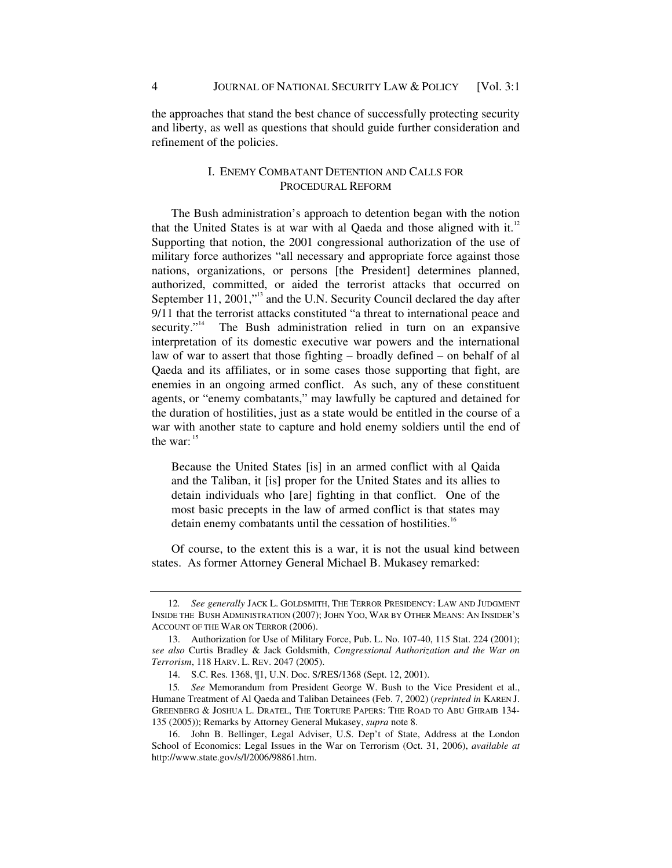the approaches that stand the best chance of successfully protecting security and liberty, as well as questions that should guide further consideration and refinement of the policies.

# I. ENEMY COMBATANT DETENTION AND CALLS FOR PROCEDURAL REFORM

The Bush administration's approach to detention began with the notion that the United States is at war with al Qaeda and those aligned with it.<sup>12</sup> Supporting that notion, the 2001 congressional authorization of the use of military force authorizes "all necessary and appropriate force against those nations, organizations, or persons [the President] determines planned, authorized, committed, or aided the terrorist attacks that occurred on September 11, 2001,"<sup>13</sup> and the U.N. Security Council declared the day after 9/11 that the terrorist attacks constituted "a threat to international peace and security."<sup>14</sup> The Bush administration relied in turn on an expansive interpretation of its domestic executive war powers and the international law of war to assert that those fighting – broadly defined – on behalf of al Qaeda and its affiliates, or in some cases those supporting that fight, are enemies in an ongoing armed conflict. As such, any of these constituent agents, or "enemy combatants," may lawfully be captured and detained for the duration of hostilities, just as a state would be entitled in the course of a war with another state to capture and hold enemy soldiers until the end of the war:  $15$ 

Because the United States [is] in an armed conflict with al Qaida and the Taliban, it [is] proper for the United States and its allies to detain individuals who [are] fighting in that conflict. One of the most basic precepts in the law of armed conflict is that states may detain enemy combatants until the cessation of hostilities.<sup>16</sup>

Of course, to the extent this is a war, it is not the usual kind between states. As former Attorney General Michael B. Mukasey remarked:

<sup>12</sup>*. See generally* JACK L. GOLDSMITH, THE TERROR PRESIDENCY: LAW AND JUDGMENT INSIDE THE BUSH ADMINISTRATION (2007); JOHN YOO, WAR BY OTHER MEANS: AN INSIDER'S ACCOUNT OF THE WAR ON TERROR (2006).

 <sup>13.</sup> Authorization for Use of Military Force, Pub. L. No. 107-40, 115 Stat. 224 (2001); *see also* Curtis Bradley & Jack Goldsmith, *Congressional Authorization and the War on Terrorism*, 118 HARV. L. REV. 2047 (2005).

 <sup>14.</sup> S.C. Res. 1368, ¶1, U.N. Doc. S/RES/1368 (Sept. 12, 2001).

<sup>15</sup>*. See* Memorandum from President George W. Bush to the Vice President et al., Humane Treatment of Al Qaeda and Taliban Detainees (Feb. 7, 2002) (*reprinted in* KAREN J. GREENBERG & JOSHUA L. DRATEL, THE TORTURE PAPERS: THE ROAD TO ABU GHRAIB 134- 135 (2005)); Remarks by Attorney General Mukasey, *supra* note 8.

 <sup>16.</sup> John B. Bellinger, Legal Adviser, U.S. Dep't of State, Address at the London School of Economics: Legal Issues in the War on Terrorism (Oct. 31, 2006), *available at* http://www.state.gov/s/l/2006/98861.htm.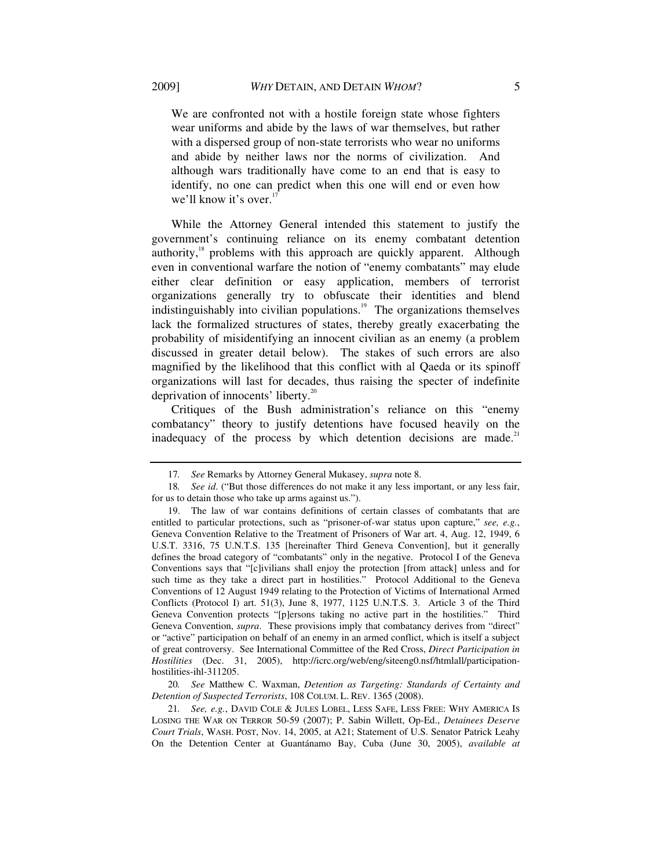We are confronted not with a hostile foreign state whose fighters wear uniforms and abide by the laws of war themselves, but rather with a dispersed group of non-state terrorists who wear no uniforms and abide by neither laws nor the norms of civilization. And although wars traditionally have come to an end that is easy to identify, no one can predict when this one will end or even how we'll know it's over.<sup>17</sup>

While the Attorney General intended this statement to justify the government's continuing reliance on its enemy combatant detention authority, $18$  problems with this approach are quickly apparent. Although even in conventional warfare the notion of "enemy combatants" may elude either clear definition or easy application, members of terrorist organizations generally try to obfuscate their identities and blend indistinguishably into civilian populations.<sup>19</sup> The organizations themselves lack the formalized structures of states, thereby greatly exacerbating the probability of misidentifying an innocent civilian as an enemy (a problem discussed in greater detail below). The stakes of such errors are also magnified by the likelihood that this conflict with al Qaeda or its spinoff organizations will last for decades, thus raising the specter of indefinite deprivation of innocents' liberty.<sup>20</sup>

Critiques of the Bush administration's reliance on this "enemy combatancy" theory to justify detentions have focused heavily on the inadequacy of the process by which detention decisions are made. $21$ 

20*. See* Matthew C. Waxman, *Detention as Targeting: Standards of Certainty and Detention of Suspected Terrorists*, 108 COLUM. L. REV. 1365 (2008).

21*. See, e.g.*, DAVID COLE & JULES LOBEL, LESS SAFE, LESS FREE: WHY AMERICA IS LOSING THE WAR ON TERROR 50-59 (2007); P. Sabin Willett, Op-Ed., *Detainees Deserve Court Trials*, WASH. POST, Nov. 14, 2005, at A21; Statement of U.S. Senator Patrick Leahy On the Detention Center at Guantánamo Bay, Cuba (June 30, 2005), *available at*

<sup>17</sup>*. See* Remarks by Attorney General Mukasey, *supra* note 8.

<sup>18</sup>*. See id*. ("But those differences do not make it any less important, or any less fair, for us to detain those who take up arms against us.").

 <sup>19.</sup> The law of war contains definitions of certain classes of combatants that are entitled to particular protections, such as "prisoner-of-war status upon capture," *see, e.g.*, Geneva Convention Relative to the Treatment of Prisoners of War art. 4, Aug. 12, 1949, 6 U.S.T. 3316, 75 U.N.T.S. 135 [hereinafter Third Geneva Convention], but it generally defines the broad category of "combatants" only in the negative. Protocol I of the Geneva Conventions says that "[c]ivilians shall enjoy the protection [from attack] unless and for such time as they take a direct part in hostilities." Protocol Additional to the Geneva Conventions of 12 August 1949 relating to the Protection of Victims of International Armed Conflicts (Protocol I) art. 51(3), June 8, 1977, 1125 U.N.T.S. 3. Article 3 of the Third Geneva Convention protects "[p]ersons taking no active part in the hostilities." Third Geneva Convention, *supra*. These provisions imply that combatancy derives from "direct" or "active" participation on behalf of an enemy in an armed conflict, which is itself a subject of great controversy. See International Committee of the Red Cross, *Direct Participation in Hostilities* (Dec. 31, 2005), http://icrc.org/web/eng/siteeng0.nsf/htmlall/participationhostilities-ihl-311205.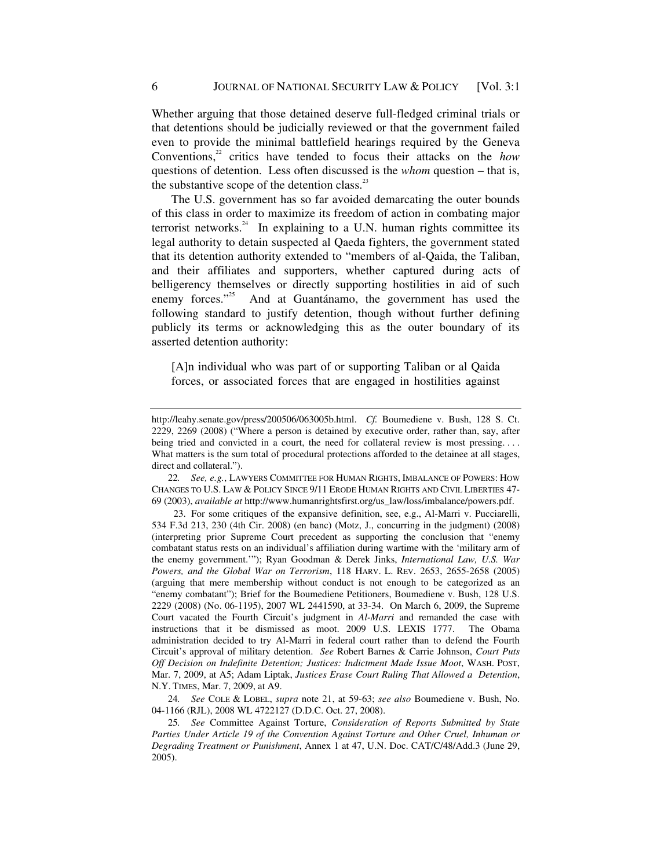Whether arguing that those detained deserve full-fledged criminal trials or that detentions should be judicially reviewed or that the government failed even to provide the minimal battlefield hearings required by the Geneva Conventions,<sup>22</sup> critics have tended to focus their attacks on the *how* questions of detention. Less often discussed is the *whom* question – that is, the substantive scope of the detention class. $^{23}$ 

The U.S. government has so far avoided demarcating the outer bounds of this class in order to maximize its freedom of action in combating major terrorist networks. $24$  In explaining to a U.N. human rights committee its legal authority to detain suspected al Qaeda fighters, the government stated that its detention authority extended to "members of al-Qaida, the Taliban, and their affiliates and supporters, whether captured during acts of belligerency themselves or directly supporting hostilities in aid of such enemy forces."<sup>25</sup> And at Guantánamo, the government has used the following standard to justify detention, though without further defining publicly its terms or acknowledging this as the outer boundary of its asserted detention authority:

[A]n individual who was part of or supporting Taliban or al Qaida forces, or associated forces that are engaged in hostilities against

24*. See* COLE & LOBEL, *supra* note 21, at 59-63; *see also* Boumediene v. Bush, No. 04-1166 (RJL), 2008 WL 4722127 (D.D.C. Oct. 27, 2008).

25*. See* Committee Against Torture, *Consideration of Reports Submitted by State Parties Under Article 19 of the Convention Against Torture and Other Cruel, Inhuman or Degrading Treatment or Punishment*, Annex 1 at 47, U.N. Doc. CAT/C/48/Add.3 (June 29, 2005).

http://leahy.senate.gov/press/200506/063005b.html. *Cf.* Boumediene v. Bush, 128 S. Ct. 2229, 2269 (2008) ("Where a person is detained by executive order, rather than, say, after being tried and convicted in a court, the need for collateral review is most pressing.... What matters is the sum total of procedural protections afforded to the detainee at all stages, direct and collateral.").

<sup>22</sup>*. See, e.g.*, LAWYERS COMMITTEE FOR HUMAN RIGHTS, IMBALANCE OF POWERS: HOW CHANGES TO U.S. LAW & POLICY SINCE 9/11 ERODE HUMAN RIGHTS AND CIVIL LIBERTIES 47- 69 (2003), *available at* http://www.humanrightsfirst.org/us\_law/loss/imbalance/powers.pdf.

<sup>23.</sup> For some critiques of the expansive definition, see, e.g., Al-Marri v. Pucciarelli, 534 F.3d 213, 230 (4th Cir. 2008) (en banc) (Motz, J., concurring in the judgment) (2008) (interpreting prior Supreme Court precedent as supporting the conclusion that "enemy combatant status rests on an individual's affiliation during wartime with the 'military arm of the enemy government.'"); Ryan Goodman & Derek Jinks, *International Law, U.S. War Powers, and the Global War on Terrorism*, 118 HARV. L. REV. 2653, 2655-2658 (2005) (arguing that mere membership without conduct is not enough to be categorized as an "enemy combatant"); Brief for the Boumediene Petitioners, Boumediene v. Bush, 128 U.S. 2229 (2008) (No. 06-1195), 2007 WL 2441590, at 33-34. On March 6, 2009, the Supreme Court vacated the Fourth Circuit's judgment in *Al-Marri* and remanded the case with instructions that it be dismissed as moot. 2009 U.S. LEXIS 1777. The Obama administration decided to try Al-Marri in federal court rather than to defend the Fourth Circuit's approval of military detention. *See* Robert Barnes & Carrie Johnson, *Court Puts Off Decision on Indefinite Detention; Justices: Indictment Made Issue Moot*, WASH. POST, Mar. 7, 2009, at A5; Adam Liptak, *Justices Erase Court Ruling That Allowed a Detention*, N.Y. TIMES, Mar. 7, 2009, at A9.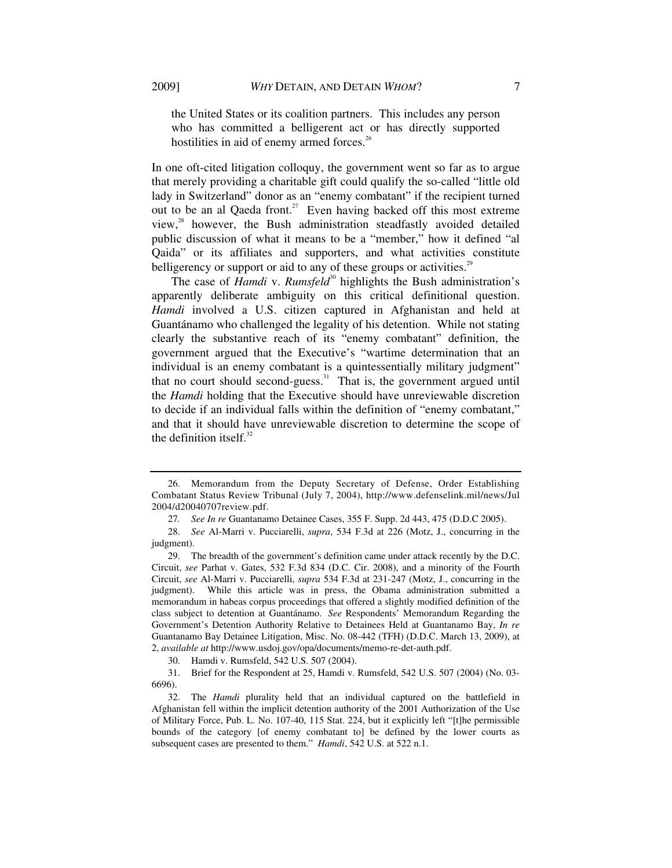the United States or its coalition partners. This includes any person who has committed a belligerent act or has directly supported

hostilities in aid of enemy armed forces. $26$ 

In one oft-cited litigation colloquy, the government went so far as to argue that merely providing a charitable gift could qualify the so-called "little old lady in Switzerland" donor as an "enemy combatant" if the recipient turned out to be an al Qaeda front.<sup>27</sup> Even having backed off this most extreme view, $x^2$  however, the Bush administration steadfastly avoided detailed public discussion of what it means to be a "member," how it defined "al Qaida" or its affiliates and supporters, and what activities constitute belligerency or support or aid to any of these groups or activities.<sup>29</sup>

The case of *Hamdi* v. *Rumsfeld*<sup>30</sup> highlights the Bush administration's apparently deliberate ambiguity on this critical definitional question. *Hamdi* involved a U.S. citizen captured in Afghanistan and held at Guantánamo who challenged the legality of his detention. While not stating clearly the substantive reach of its "enemy combatant" definition, the government argued that the Executive's "wartime determination that an individual is an enemy combatant is a quintessentially military judgment" that no court should second-guess. $31$  That is, the government argued until the *Hamdi* holding that the Executive should have unreviewable discretion to decide if an individual falls within the definition of "enemy combatant," and that it should have unreviewable discretion to determine the scope of the definition itself. $32$ 

30. Hamdi v. Rumsfeld, 542 U.S. 507 (2004).

 31. Brief for the Respondent at 25, Hamdi v. Rumsfeld, 542 U.S. 507 (2004) (No. 03- 6696).

 <sup>26.</sup> Memorandum from the Deputy Secretary of Defense, Order Establishing Combatant Status Review Tribunal (July 7, 2004), http://www.defenselink.mil/news/Jul 2004/d20040707review.pdf.

<sup>27</sup>*. See In re* Guantanamo Detainee Cases, 355 F. Supp. 2d 443, 475 (D.D.C 2005).

 <sup>28.</sup> *See* Al-Marri v. Pucciarelli, *supra*, 534 F.3d at 226 (Motz, J., concurring in the judgment).

 <sup>29.</sup> The breadth of the government's definition came under attack recently by the D.C. Circuit, *see* Parhat v. Gates, 532 F.3d 834 (D.C. Cir. 2008), and a minority of the Fourth Circuit, *see* Al-Marri v. Pucciarelli, *supra* 534 F.3d at 231-247 (Motz, J., concurring in the judgment). While this article was in press, the Obama administration submitted a memorandum in habeas corpus proceedings that offered a slightly modified definition of the class subject to detention at Guantánamo. *See* Respondents' Memorandum Regarding the Government's Detention Authority Relative to Detainees Held at Guantanamo Bay, *In re* Guantanamo Bay Detainee Litigation, Misc. No. 08-442 (TFH) (D.D.C. March 13, 2009), at 2, *available at* http://www.usdoj.gov/opa/documents/memo-re-det-auth.pdf.

 <sup>32.</sup> The *Hamdi* plurality held that an individual captured on the battlefield in Afghanistan fell within the implicit detention authority of the 2001 Authorization of the Use of Military Force, Pub. L. No. 107-40, 115 Stat. 224, but it explicitly left "[t]he permissible bounds of the category [of enemy combatant to] be defined by the lower courts as subsequent cases are presented to them." *Hamdi*, 542 U.S. at 522 n.1.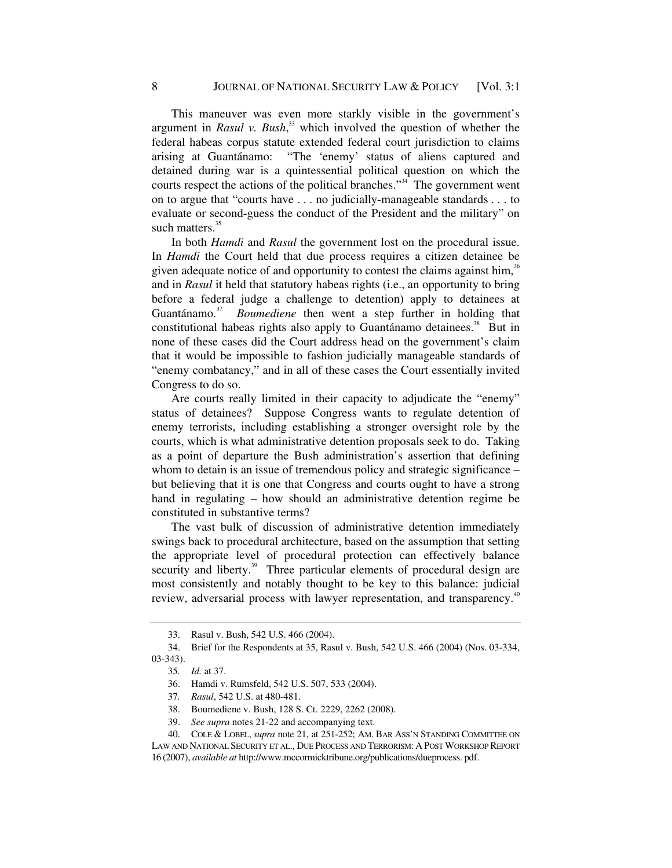This maneuver was even more starkly visible in the government's argument in *Rasul v. Bush*, 33 which involved the question of whether the federal habeas corpus statute extended federal court jurisdiction to claims arising at Guantánamo: "The 'enemy' status of aliens captured and detained during war is a quintessential political question on which the courts respect the actions of the political branches."<sup>34</sup> The government went on to argue that "courts have . . . no judicially-manageable standards . . . to evaluate or second-guess the conduct of the President and the military" on such matters.<sup>35</sup>

In both *Hamdi* and *Rasul* the government lost on the procedural issue. In *Hamdi* the Court held that due process requires a citizen detainee be given adequate notice of and opportunity to contest the claims against him, $36$ and in *Rasul* it held that statutory habeas rights (i.e., an opportunity to bring before a federal judge a challenge to detention) apply to detainees at Guantánamo.<sup>37</sup> *Boumediene* then went a step further in holding that constitutional habeas rights also apply to Guantánamo detainees. $38$  But in none of these cases did the Court address head on the government's claim that it would be impossible to fashion judicially manageable standards of "enemy combatancy," and in all of these cases the Court essentially invited Congress to do so.

Are courts really limited in their capacity to adjudicate the "enemy" status of detainees? Suppose Congress wants to regulate detention of enemy terrorists, including establishing a stronger oversight role by the courts, which is what administrative detention proposals seek to do. Taking as a point of departure the Bush administration's assertion that defining whom to detain is an issue of tremendous policy and strategic significance – but believing that it is one that Congress and courts ought to have a strong hand in regulating – how should an administrative detention regime be constituted in substantive terms?

The vast bulk of discussion of administrative detention immediately swings back to procedural architecture, based on the assumption that setting the appropriate level of procedural protection can effectively balance security and liberty.<sup>39</sup> Three particular elements of procedural design are most consistently and notably thought to be key to this balance: judicial review, adversarial process with lawyer representation, and transparency.<sup>40</sup>

 <sup>33.</sup> Rasul v. Bush, 542 U.S. 466 (2004).

 <sup>34.</sup> Brief for the Respondents at 35, Rasul v. Bush, 542 U.S. 466 (2004) (Nos. 03-334, 03-343).

<sup>35</sup>*. Id.* at 37.

 <sup>36.</sup> Hamdi v. Rumsfeld, 542 U.S. 507, 533 (2004).

<sup>37</sup>*. Rasul*, 542 U.S. at 480-481.

 <sup>38.</sup> Boumediene v. Bush, 128 S. Ct. 2229, 2262 (2008).

 <sup>39.</sup> *See supra* notes 21-22 and accompanying text.

 <sup>40.</sup> COLE & LOBEL, *supra* note 21, at 251-252; AM. BAR ASS'N STANDING COMMITTEE ON LAW AND NATIONAL SECURITY ET AL., DUE PROCESS AND TERRORISM: A POST WORKSHOP REPORT 16 (2007), *available at* http://www.mccormicktribune.org/publications/dueprocess. pdf.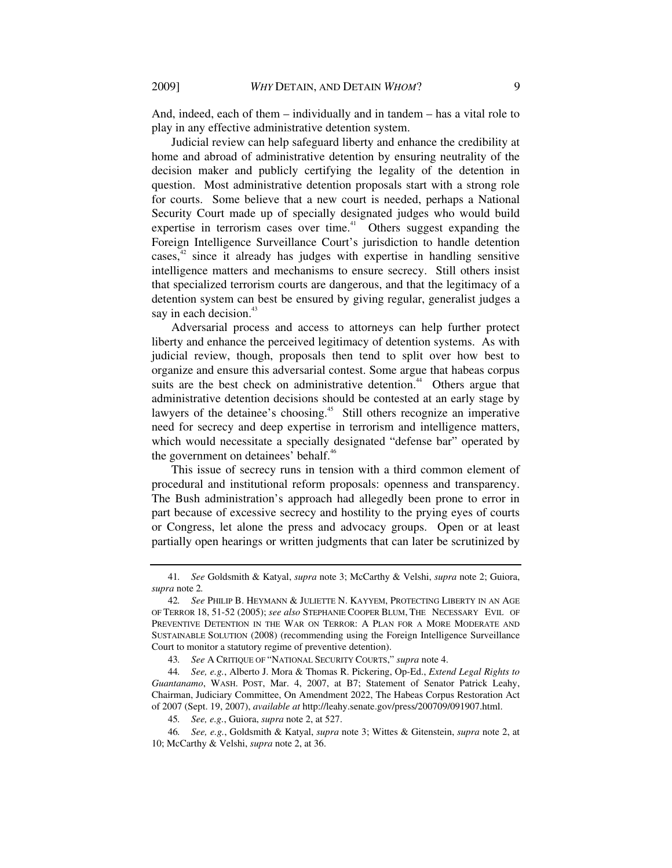And, indeed, each of them – individually and in tandem – has a vital role to play in any effective administrative detention system.

Judicial review can help safeguard liberty and enhance the credibility at home and abroad of administrative detention by ensuring neutrality of the decision maker and publicly certifying the legality of the detention in question. Most administrative detention proposals start with a strong role for courts. Some believe that a new court is needed, perhaps a National Security Court made up of specially designated judges who would build expertise in terrorism cases over time.<sup> $41$ </sup> Others suggest expanding the Foreign Intelligence Surveillance Court's jurisdiction to handle detention  $cases<sup>42</sup> since it already has judges with expertise in handling sensitive$ intelligence matters and mechanisms to ensure secrecy. Still others insist that specialized terrorism courts are dangerous, and that the legitimacy of a detention system can best be ensured by giving regular, generalist judges a say in each decision.<sup>43</sup>

Adversarial process and access to attorneys can help further protect liberty and enhance the perceived legitimacy of detention systems. As with judicial review, though, proposals then tend to split over how best to organize and ensure this adversarial contest. Some argue that habeas corpus suits are the best check on administrative detention.<sup>44</sup> Others argue that administrative detention decisions should be contested at an early stage by lawyers of the detainee's choosing.<sup>45</sup> Still others recognize an imperative need for secrecy and deep expertise in terrorism and intelligence matters, which would necessitate a specially designated "defense bar" operated by the government on detainees' behalf.<sup>46</sup>

This issue of secrecy runs in tension with a third common element of procedural and institutional reform proposals: openness and transparency. The Bush administration's approach had allegedly been prone to error in part because of excessive secrecy and hostility to the prying eyes of courts or Congress, let alone the press and advocacy groups. Open or at least partially open hearings or written judgments that can later be scrutinized by

43*. See* A CRITIQUE OF "NATIONAL SECURITY COURTS," *supra* note 4.

<sup>41</sup>*. See* Goldsmith & Katyal, *supra* note 3; McCarthy & Velshi, *supra* note 2; Guiora, *supra* note 2*.*

<sup>42</sup>*. See* PHILIP B. HEYMANN & JULIETTE N. KAYYEM, PROTECTING LIBERTY IN AN AGE OF TERROR 18, 51-52 (2005); *see also* STEPHANIE COOPER BLUM, THE NECESSARY EVIL OF PREVENTIVE DETENTION IN THE WAR ON TERROR: A PLAN FOR A MORE MODERATE AND SUSTAINABLE SOLUTION (2008) (recommending using the Foreign Intelligence Surveillance Court to monitor a statutory regime of preventive detention).

<sup>44</sup>*. See, e.g.*, Alberto J. Mora & Thomas R. Pickering, Op-Ed., *Extend Legal Rights to Guantanamo*, WASH. POST, Mar. 4, 2007, at B7; Statement of Senator Patrick Leahy, Chairman, Judiciary Committee, On Amendment 2022, The Habeas Corpus Restoration Act of 2007 (Sept. 19, 2007), *available at* http://leahy.senate.gov/press/200709/091907.html.

<sup>45</sup>*. See, e.g.*, Guiora, *supra* note 2, at 527.

<sup>46</sup>*. See, e.g.*, Goldsmith & Katyal, *supra* note 3; Wittes & Gitenstein, *supra* note 2, at 10; McCarthy & Velshi, *supra* note 2, at 36.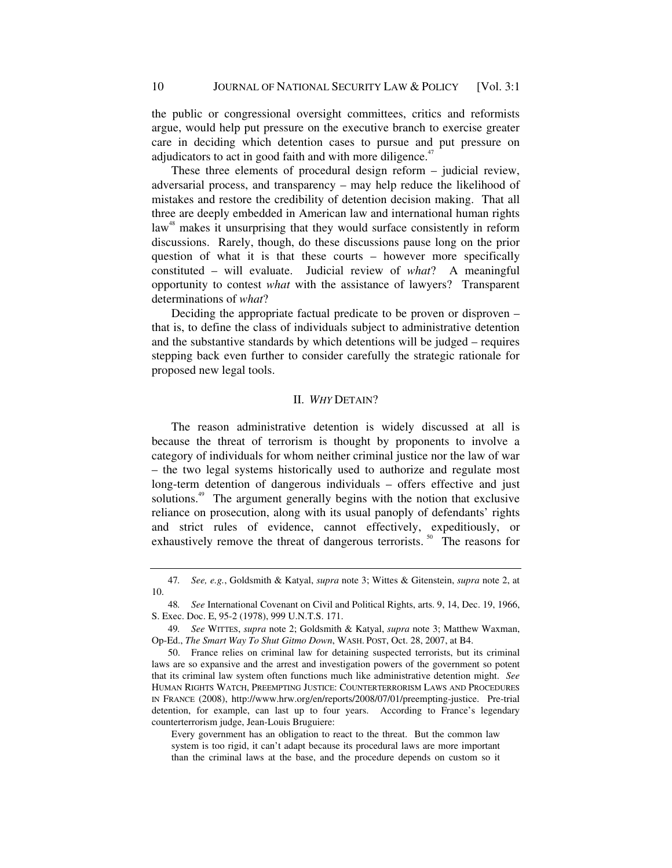the public or congressional oversight committees, critics and reformists argue, would help put pressure on the executive branch to exercise greater care in deciding which detention cases to pursue and put pressure on adjudicators to act in good faith and with more diligence.<sup>47</sup>

These three elements of procedural design reform – judicial review, adversarial process, and transparency – may help reduce the likelihood of mistakes and restore the credibility of detention decision making. That all three are deeply embedded in American law and international human rights law<sup>48</sup> makes it unsurprising that they would surface consistently in reform discussions. Rarely, though, do these discussions pause long on the prior question of what it is that these courts – however more specifically constituted – will evaluate. Judicial review of *what*? A meaningful opportunity to contest *what* with the assistance of lawyers? Transparent determinations of *what*?

Deciding the appropriate factual predicate to be proven or disproven – that is, to define the class of individuals subject to administrative detention and the substantive standards by which detentions will be judged – requires stepping back even further to consider carefully the strategic rationale for proposed new legal tools.

#### II. *WHY* DETAIN?

The reason administrative detention is widely discussed at all is because the threat of terrorism is thought by proponents to involve a category of individuals for whom neither criminal justice nor the law of war – the two legal systems historically used to authorize and regulate most long-term detention of dangerous individuals – offers effective and just solutions.<sup>49</sup> The argument generally begins with the notion that exclusive reliance on prosecution, along with its usual panoply of defendants' rights and strict rules of evidence, cannot effectively, expeditiously, or exhaustively remove the threat of dangerous terrorists.<sup>50</sup> The reasons for

<sup>47</sup>*. See, e.g.*, Goldsmith & Katyal, *supra* note 3; Wittes & Gitenstein, *supra* note 2, at 10.

<sup>48</sup>*. See* International Covenant on Civil and Political Rights, arts. 9, 14, Dec. 19, 1966, S. Exec. Doc. E, 95-2 (1978), 999 U.N.T.S. 171.

<sup>49</sup>*. See* WITTES, *supra* note 2; Goldsmith & Katyal, *supra* note 3; Matthew Waxman, Op-Ed., *The Smart Way To Shut Gitmo Down*, WASH. POST, Oct. 28, 2007, at B4.

 <sup>50.</sup> France relies on criminal law for detaining suspected terrorists, but its criminal laws are so expansive and the arrest and investigation powers of the government so potent that its criminal law system often functions much like administrative detention might. *See* HUMAN RIGHTS WATCH, PREEMPTING JUSTICE: COUNTERTERRORISM LAWS AND PROCEDURES IN FRANCE (2008), http://www.hrw.org/en/reports/2008/07/01/preempting-justice. Pre-trial detention, for example, can last up to four years. According to France's legendary counterterrorism judge, Jean-Louis Bruguiere:

Every government has an obligation to react to the threat. But the common law system is too rigid, it can't adapt because its procedural laws are more important than the criminal laws at the base, and the procedure depends on custom so it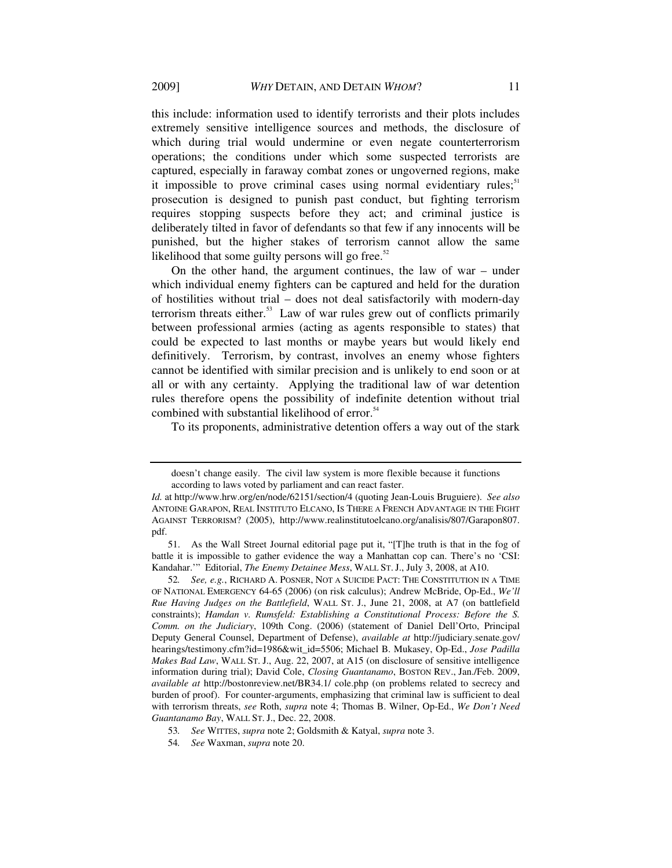this include: information used to identify terrorists and their plots includes extremely sensitive intelligence sources and methods, the disclosure of which during trial would undermine or even negate counterterrorism operations; the conditions under which some suspected terrorists are captured, especially in faraway combat zones or ungoverned regions, make it impossible to prove criminal cases using normal evidentiary rules;  $51$ prosecution is designed to punish past conduct, but fighting terrorism requires stopping suspects before they act; and criminal justice is deliberately tilted in favor of defendants so that few if any innocents will be punished, but the higher stakes of terrorism cannot allow the same likelihood that some guilty persons will go free. $52$ 

On the other hand, the argument continues, the law of war – under which individual enemy fighters can be captured and held for the duration of hostilities without trial – does not deal satisfactorily with modern-day terrorism threats either.<sup>53</sup> Law of war rules grew out of conflicts primarily between professional armies (acting as agents responsible to states) that could be expected to last months or maybe years but would likely end definitively. Terrorism, by contrast, involves an enemy whose fighters cannot be identified with similar precision and is unlikely to end soon or at all or with any certainty. Applying the traditional law of war detention rules therefore opens the possibility of indefinite detention without trial combined with substantial likelihood of error.<sup>54</sup>

To its proponents, administrative detention offers a way out of the stark

doesn't change easily. The civil law system is more flexible because it functions according to laws voted by parliament and can react faster.

*Id.* at http://www.hrw.org/en/node/62151/section/4 (quoting Jean-Louis Bruguiere). *See also* ANTOINE GARAPON, REAL INSTITUTO ELCANO, IS THERE A FRENCH ADVANTAGE IN THE FIGHT AGAINST TERRORISM? (2005), http://www.realinstitutoelcano.org/analisis/807/Garapon807. pdf.

 <sup>51.</sup> As the Wall Street Journal editorial page put it, "[T]he truth is that in the fog of battle it is impossible to gather evidence the way a Manhattan cop can. There's no 'CSI: Kandahar.'" Editorial, *The Enemy Detainee Mess*, WALL ST.J., July 3, 2008, at A10.

<sup>52</sup>*. See, e.g.*, RICHARD A. POSNER, NOT A SUICIDE PACT: THE CONSTITUTION IN A TIME OF NATIONAL EMERGENCY 64-65 (2006) (on risk calculus); Andrew McBride, Op-Ed., *We'll Rue Having Judges on the Battlefield*, WALL ST. J., June 21, 2008, at A7 (on battlefield constraints); *Hamdan v. Rumsfeld: Establishing a Constitutional Process: Before the S. Comm. on the Judiciary*, 109th Cong. (2006) (statement of Daniel Dell'Orto, Principal Deputy General Counsel, Department of Defense), *available at* http://judiciary.senate.gov/ hearings/testimony.cfm?id=1986&wit\_id=5506; Michael B. Mukasey, Op-Ed., *Jose Padilla Makes Bad Law*, WALL ST. J., Aug. 22, 2007, at A15 (on disclosure of sensitive intelligence information during trial); David Cole, *Closing Guantanamo*, BOSTON REV., Jan./Feb. 2009, *available at* http://bostonreview.net/BR34.1/ cole.php (on problems related to secrecy and burden of proof). For counter-arguments, emphasizing that criminal law is sufficient to deal with terrorism threats, *see* Roth, *supra* note 4; Thomas B. Wilner, Op-Ed., *We Don't Need Guantanamo Bay*, WALL ST. J., Dec. 22, 2008.

<sup>53</sup>*. See* WITTES, *supra* note 2; Goldsmith & Katyal, *supra* note 3.

<sup>54</sup>*. See* Waxman, *supra* note 20.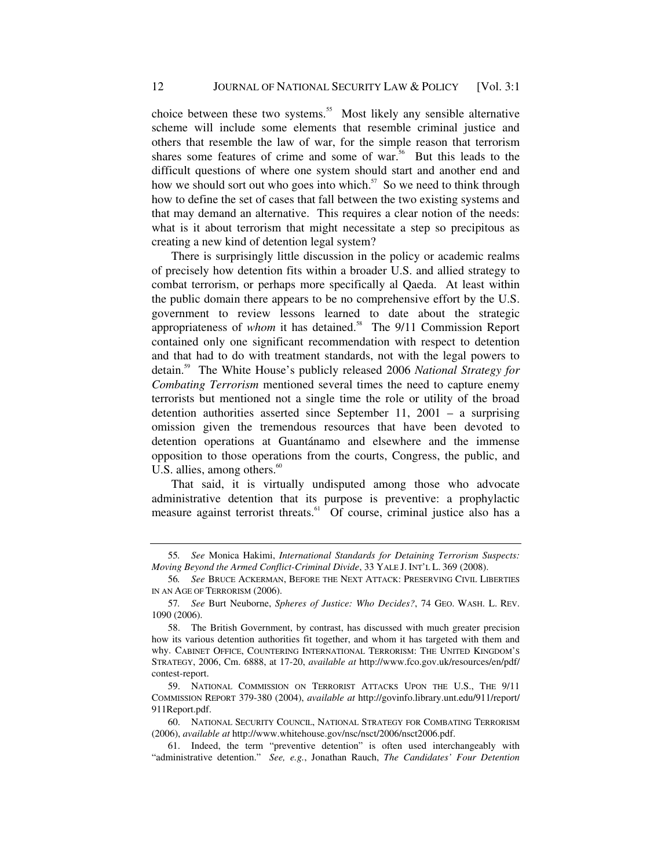choice between these two systems.<sup>55</sup> Most likely any sensible alternative scheme will include some elements that resemble criminal justice and others that resemble the law of war, for the simple reason that terrorism shares some features of crime and some of war.<sup>56</sup> But this leads to the difficult questions of where one system should start and another end and how we should sort out who goes into which. $57$  So we need to think through how to define the set of cases that fall between the two existing systems and that may demand an alternative. This requires a clear notion of the needs: what is it about terrorism that might necessitate a step so precipitous as creating a new kind of detention legal system?

There is surprisingly little discussion in the policy or academic realms of precisely how detention fits within a broader U.S. and allied strategy to combat terrorism, or perhaps more specifically al Qaeda. At least within the public domain there appears to be no comprehensive effort by the U.S. government to review lessons learned to date about the strategic appropriateness of *whom* it has detained.<sup>58</sup> The 9/11 Commission Report contained only one significant recommendation with respect to detention and that had to do with treatment standards, not with the legal powers to detain.59 The White House's publicly released 2006 *National Strategy for Combating Terrorism* mentioned several times the need to capture enemy terrorists but mentioned not a single time the role or utility of the broad detention authorities asserted since September 11, 2001 – a surprising omission given the tremendous resources that have been devoted to detention operations at Guantánamo and elsewhere and the immense opposition to those operations from the courts, Congress, the public, and U.S. allies, among others. $60$ 

That said, it is virtually undisputed among those who advocate administrative detention that its purpose is preventive: a prophylactic measure against terrorist threats.<sup>61</sup> Of course, criminal justice also has a

<sup>55</sup>*. See* Monica Hakimi, *International Standards for Detaining Terrorism Suspects: Moving Beyond the Armed Conflict-Criminal Divide*, 33 YALE J. INT'L L. 369 (2008).

<sup>56</sup>*. See* BRUCE ACKERMAN, BEFORE THE NEXT ATTACK: PRESERVING CIVIL LIBERTIES IN AN AGE OF TERRORISM (2006).

<sup>57</sup>*. See* Burt Neuborne, *Spheres of Justice: Who Decides?*, 74 GEO. WASH. L. REV. 1090 (2006).

 <sup>58.</sup> The British Government, by contrast, has discussed with much greater precision how its various detention authorities fit together, and whom it has targeted with them and why. CABINET OFFICE, COUNTERING INTERNATIONAL TERRORISM: THE UNITED KINGDOM'S STRATEGY, 2006, Cm. 6888, at 17-20, *available at* http://www.fco.gov.uk/resources/en/pdf/ contest-report.

 <sup>59.</sup> NATIONAL COMMISSION ON TERRORIST ATTACKS UPON THE U.S., THE 9/11 COMMISSION REPORT 379-380 (2004), *available at* http://govinfo.library.unt.edu/911/report/ 911Report.pdf.

 <sup>60.</sup> NATIONAL SECURITY COUNCIL, NATIONAL STRATEGY FOR COMBATING TERRORISM (2006), *available at* http://www.whitehouse.gov/nsc/nsct/2006/nsct2006.pdf.

 <sup>61.</sup> Indeed, the term "preventive detention" is often used interchangeably with "administrative detention." *See, e.g.*, Jonathan Rauch, *The Candidates' Four Detention*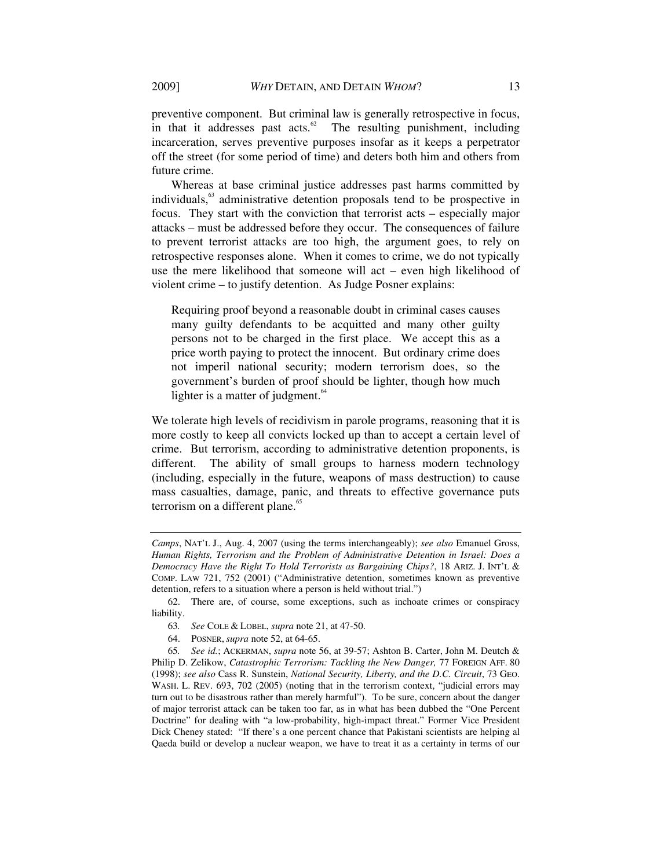preventive component. But criminal law is generally retrospective in focus, in that it addresses past  $\arccos$ <sup>62</sup> The resulting punishment, including incarceration, serves preventive purposes insofar as it keeps a perpetrator off the street (for some period of time) and deters both him and others from future crime.

Whereas at base criminal justice addresses past harms committed by individuals,<sup>63</sup> administrative detention proposals tend to be prospective in focus. They start with the conviction that terrorist acts – especially major attacks – must be addressed before they occur. The consequences of failure to prevent terrorist attacks are too high, the argument goes, to rely on retrospective responses alone. When it comes to crime, we do not typically use the mere likelihood that someone will act – even high likelihood of violent crime – to justify detention. As Judge Posner explains:

Requiring proof beyond a reasonable doubt in criminal cases causes many guilty defendants to be acquitted and many other guilty persons not to be charged in the first place. We accept this as a price worth paying to protect the innocent. But ordinary crime does not imperil national security; modern terrorism does, so the government's burden of proof should be lighter, though how much lighter is a matter of judgment. $64$ 

We tolerate high levels of recidivism in parole programs, reasoning that it is more costly to keep all convicts locked up than to accept a certain level of crime. But terrorism, according to administrative detention proponents, is different. The ability of small groups to harness modern technology (including, especially in the future, weapons of mass destruction) to cause mass casualties, damage, panic, and threats to effective governance puts terrorism on a different plane.<sup>65</sup>

*Camps*, NAT'L J., Aug. 4, 2007 (using the terms interchangeably); *see also* Emanuel Gross, *Human Rights, Terrorism and the Problem of Administrative Detention in Israel: Does a Democracy Have the Right To Hold Terrorists as Bargaining Chips?*, 18 ARIZ. J. INT'L & COMP. LAW 721, 752 (2001) ("Administrative detention, sometimes known as preventive detention, refers to a situation where a person is held without trial.")

 <sup>62.</sup> There are, of course, some exceptions, such as inchoate crimes or conspiracy liability.

<sup>63</sup>*. See* COLE & LOBEL, *supra* note 21, at 47-50.

 <sup>64.</sup> POSNER, *supra* note 52, at 64-65.

<sup>65</sup>*. See id.*; ACKERMAN, *supra* note 56, at 39-57; Ashton B. Carter, John M. Deutch & Philip D. Zelikow, *Catastrophic Terrorism: Tackling the New Danger,* 77 FOREIGN AFF. 80 (1998); *see also* Cass R. Sunstein, *National Security, Liberty, and the D.C. Circuit*, 73 GEO. WASH. L. REV. 693, 702 (2005) (noting that in the terrorism context, "judicial errors may turn out to be disastrous rather than merely harmful"). To be sure, concern about the danger of major terrorist attack can be taken too far, as in what has been dubbed the "One Percent Doctrine" for dealing with "a low-probability, high-impact threat." Former Vice President Dick Cheney stated: "If there's a one percent chance that Pakistani scientists are helping al Qaeda build or develop a nuclear weapon, we have to treat it as a certainty in terms of our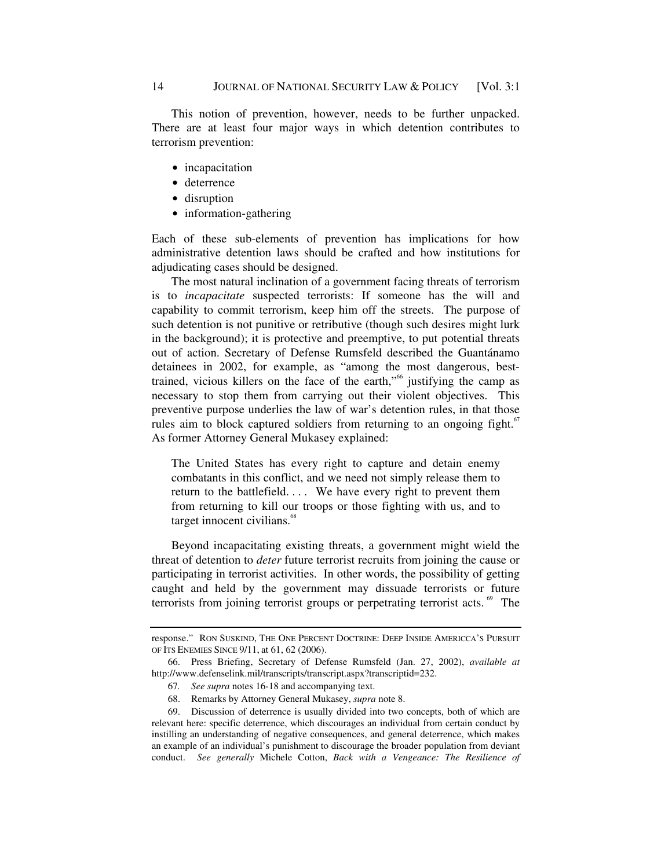This notion of prevention, however, needs to be further unpacked. There are at least four major ways in which detention contributes to terrorism prevention:

- incapacitation
- deterrence
- disruption
- $\bullet$  information-gathering

Each of these sub-elements of prevention has implications for how administrative detention laws should be crafted and how institutions for adjudicating cases should be designed.

The most natural inclination of a government facing threats of terrorism is to *incapacitate* suspected terrorists: If someone has the will and capability to commit terrorism, keep him off the streets. The purpose of such detention is not punitive or retributive (though such desires might lurk in the background); it is protective and preemptive, to put potential threats out of action. Secretary of Defense Rumsfeld described the Guantánamo detainees in 2002, for example, as "among the most dangerous, besttrained, vicious killers on the face of the earth,<sup>"66</sup> justifying the camp as necessary to stop them from carrying out their violent objectives. This preventive purpose underlies the law of war's detention rules, in that those rules aim to block captured soldiers from returning to an ongoing fight. $67$ As former Attorney General Mukasey explained:

The United States has every right to capture and detain enemy combatants in this conflict, and we need not simply release them to return to the battlefield. . . . We have every right to prevent them from returning to kill our troops or those fighting with us, and to target innocent civilians.<sup>68</sup>

Beyond incapacitating existing threats, a government might wield the threat of detention to *deter* future terrorist recruits from joining the cause or participating in terrorist activities. In other words, the possibility of getting caught and held by the government may dissuade terrorists or future terrorists from joining terrorist groups or perpetrating terrorist acts.<sup>69</sup> The

response." RON SUSKIND, THE ONE PERCENT DOCTRINE: DEEP INSIDE AMERICCA'S PURSUIT OF ITS ENEMIES SINCE 9/11, at 61, 62 (2006).

 <sup>66.</sup> Press Briefing, Secretary of Defense Rumsfeld (Jan. 27, 2002), *available at* http://www.defenselink.mil/transcripts/transcript.aspx?transcriptid=232.

<sup>67</sup>*. See supra* notes 16-18 and accompanying text.

 <sup>68.</sup> Remarks by Attorney General Mukasey, *supra* note 8.

 <sup>69.</sup> Discussion of deterrence is usually divided into two concepts, both of which are relevant here: specific deterrence, which discourages an individual from certain conduct by instilling an understanding of negative consequences, and general deterrence, which makes an example of an individual's punishment to discourage the broader population from deviant conduct. *See generally* Michele Cotton, *Back with a Vengeance: The Resilience of*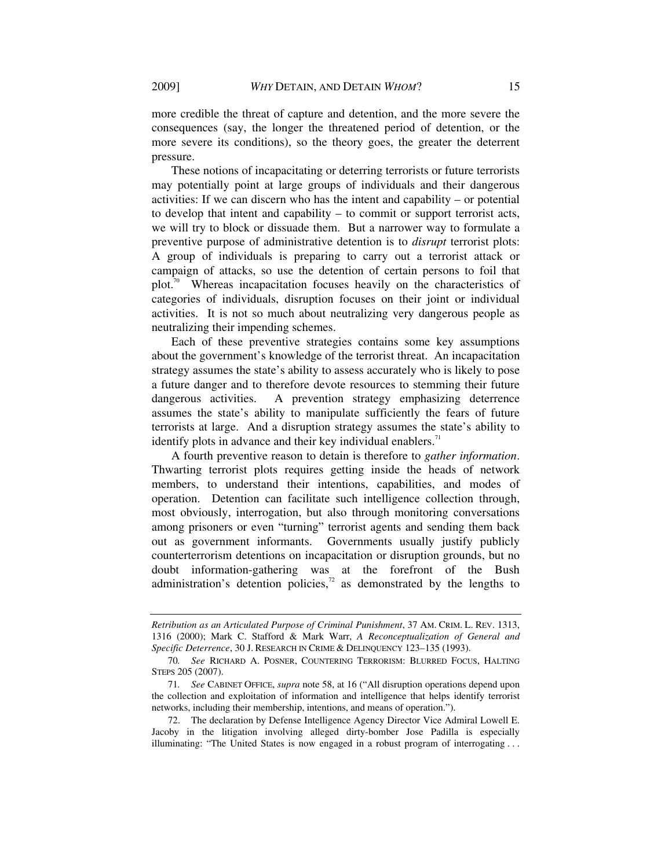more credible the threat of capture and detention, and the more severe the consequences (say, the longer the threatened period of detention, or the more severe its conditions), so the theory goes, the greater the deterrent pressure.

These notions of incapacitating or deterring terrorists or future terrorists may potentially point at large groups of individuals and their dangerous activities: If we can discern who has the intent and capability – or potential to develop that intent and capability – to commit or support terrorist acts, we will try to block or dissuade them. But a narrower way to formulate a preventive purpose of administrative detention is to *disrupt* terrorist plots: A group of individuals is preparing to carry out a terrorist attack or campaign of attacks, so use the detention of certain persons to foil that plot.<sup>70</sup> Whereas incapacitation focuses heavily on the characteristics of categories of individuals, disruption focuses on their joint or individual activities. It is not so much about neutralizing very dangerous people as neutralizing their impending schemes.

Each of these preventive strategies contains some key assumptions about the government's knowledge of the terrorist threat. An incapacitation strategy assumes the state's ability to assess accurately who is likely to pose a future danger and to therefore devote resources to stemming their future dangerous activities. A prevention strategy emphasizing deterrence assumes the state's ability to manipulate sufficiently the fears of future terrorists at large. And a disruption strategy assumes the state's ability to identify plots in advance and their key individual enablers. $11$ 

A fourth preventive reason to detain is therefore to *gather information*. Thwarting terrorist plots requires getting inside the heads of network members, to understand their intentions, capabilities, and modes of operation. Detention can facilitate such intelligence collection through, most obviously, interrogation, but also through monitoring conversations among prisoners or even "turning" terrorist agents and sending them back out as government informants. Governments usually justify publicly counterterrorism detentions on incapacitation or disruption grounds, but no doubt information-gathering was at the forefront of the Bush administration's detention policies, $72$  as demonstrated by the lengths to

*Retribution as an Articulated Purpose of Criminal Punishment*, 37 AM. CRIM. L. REV. 1313, 1316 (2000); Mark C. Stafford & Mark Warr, *A Reconceptualization of General and Specific Deterrence*, 30 J. RESEARCH IN CRIME & DELINQUENCY 123–135 (1993).

<sup>70</sup>*. See* RICHARD A. POSNER, COUNTERING TERRORISM: BLURRED FOCUS, HALTING STEPS 205 (2007).

<sup>71</sup>*. See* CABINET OFFICE, *supra* note 58, at 16 ("All disruption operations depend upon the collection and exploitation of information and intelligence that helps identify terrorist networks, including their membership, intentions, and means of operation.").

 <sup>72.</sup> The declaration by Defense Intelligence Agency Director Vice Admiral Lowell E. Jacoby in the litigation involving alleged dirty-bomber Jose Padilla is especially illuminating: "The United States is now engaged in a robust program of interrogating . . .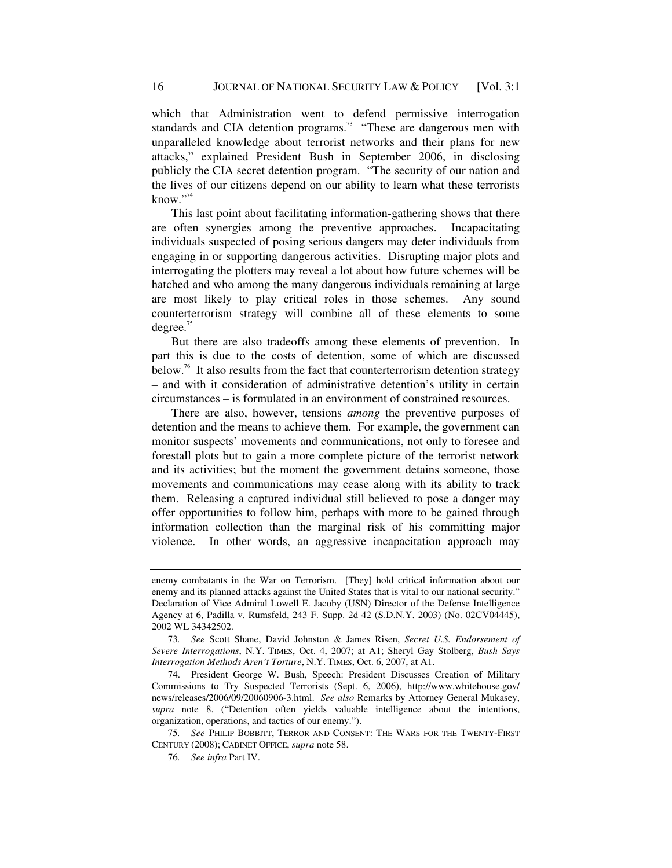which that Administration went to defend permissive interrogation standards and CIA detention programs.<sup>73</sup> "These are dangerous men with unparalleled knowledge about terrorist networks and their plans for new attacks," explained President Bush in September 2006, in disclosing publicly the CIA secret detention program. "The security of our nation and the lives of our citizens depend on our ability to learn what these terrorists know." $74$ 

This last point about facilitating information-gathering shows that there are often synergies among the preventive approaches. Incapacitating individuals suspected of posing serious dangers may deter individuals from engaging in or supporting dangerous activities. Disrupting major plots and interrogating the plotters may reveal a lot about how future schemes will be hatched and who among the many dangerous individuals remaining at large are most likely to play critical roles in those schemes. Any sound counterterrorism strategy will combine all of these elements to some degree. $75$ 

But there are also tradeoffs among these elements of prevention. In part this is due to the costs of detention, some of which are discussed below.<sup>76</sup> It also results from the fact that counterterrorism detention strategy – and with it consideration of administrative detention's utility in certain circumstances – is formulated in an environment of constrained resources.

There are also, however, tensions *among* the preventive purposes of detention and the means to achieve them. For example, the government can monitor suspects' movements and communications, not only to foresee and forestall plots but to gain a more complete picture of the terrorist network and its activities; but the moment the government detains someone, those movements and communications may cease along with its ability to track them. Releasing a captured individual still believed to pose a danger may offer opportunities to follow him, perhaps with more to be gained through information collection than the marginal risk of his committing major violence. In other words, an aggressive incapacitation approach may

 74. President George W. Bush, Speech: President Discusses Creation of Military Commissions to Try Suspected Terrorists (Sept. 6, 2006), http://www.whitehouse.gov/ news/releases/2006/09/20060906-3.html. *See also* Remarks by Attorney General Mukasey, *supra* note 8. ("Detention often yields valuable intelligence about the intentions, organization, operations, and tactics of our enemy.").

75*. See* PHILIP BOBBITT, TERROR AND CONSENT: THE WARS FOR THE TWENTY-FIRST CENTURY (2008); CABINET OFFICE, *supra* note 58.

76*. See infra* Part IV.

enemy combatants in the War on Terrorism. [They] hold critical information about our enemy and its planned attacks against the United States that is vital to our national security." Declaration of Vice Admiral Lowell E. Jacoby (USN) Director of the Defense Intelligence Agency at 6, Padilla v. Rumsfeld, 243 F. Supp. 2d 42 (S.D.N.Y. 2003) (No. 02CV04445), 2002 WL 34342502.

<sup>73</sup>*. See* Scott Shane, David Johnston & James Risen, *Secret U.S. Endorsement of Severe Interrogations*, N.Y. TIMES, Oct. 4, 2007; at A1; Sheryl Gay Stolberg, *Bush Says Interrogation Methods Aren't Torture*, N.Y. TIMES, Oct. 6, 2007, at A1.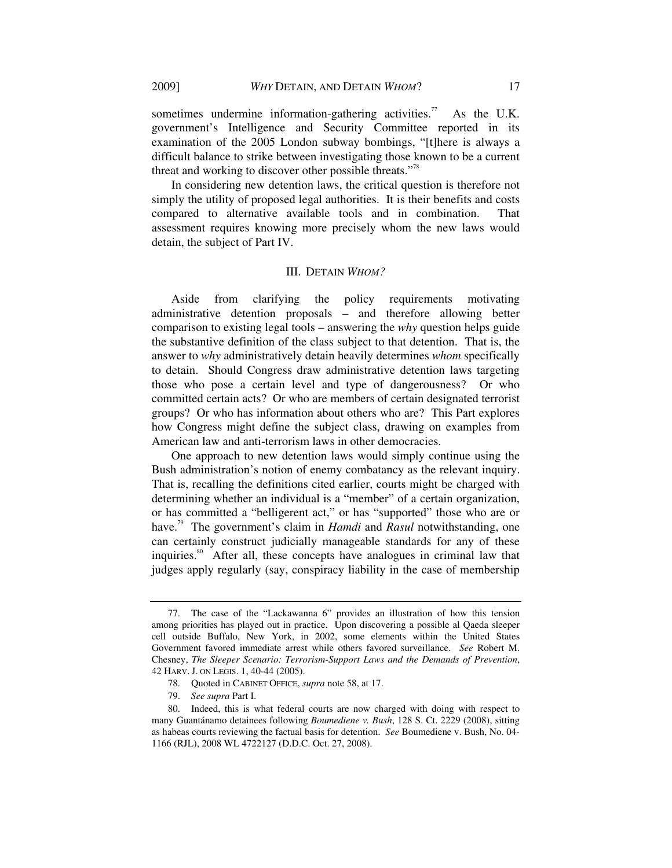sometimes undermine information-gathering activities.<sup>77</sup> As the U.K. government's Intelligence and Security Committee reported in its examination of the 2005 London subway bombings, "[t]here is always a difficult balance to strike between investigating those known to be a current threat and working to discover other possible threats."<sup>78</sup>

In considering new detention laws, the critical question is therefore not simply the utility of proposed legal authorities. It is their benefits and costs compared to alternative available tools and in combination. That assessment requires knowing more precisely whom the new laws would detain, the subject of Part IV.

#### III. DETAIN *WHOM?*

Aside from clarifying the policy requirements motivating administrative detention proposals – and therefore allowing better comparison to existing legal tools – answering the *why* question helps guide the substantive definition of the class subject to that detention. That is, the answer to *why* administratively detain heavily determines *whom* specifically to detain. Should Congress draw administrative detention laws targeting those who pose a certain level and type of dangerousness? Or who committed certain acts? Or who are members of certain designated terrorist groups? Or who has information about others who are? This Part explores how Congress might define the subject class, drawing on examples from American law and anti-terrorism laws in other democracies.

One approach to new detention laws would simply continue using the Bush administration's notion of enemy combatancy as the relevant inquiry. That is, recalling the definitions cited earlier, courts might be charged with determining whether an individual is a "member" of a certain organization, or has committed a "belligerent act," or has "supported" those who are or have.<sup>79</sup> The government's claim in *Hamdi* and *Rasul* notwithstanding, one can certainly construct judicially manageable standards for any of these inquiries.<sup>80</sup> After all, these concepts have analogues in criminal law that judges apply regularly (say, conspiracy liability in the case of membership

 <sup>77.</sup> The case of the "Lackawanna 6" provides an illustration of how this tension among priorities has played out in practice. Upon discovering a possible al Qaeda sleeper cell outside Buffalo, New York, in 2002, some elements within the United States Government favored immediate arrest while others favored surveillance. *See* Robert M. Chesney, *The Sleeper Scenario: Terrorism-Support Laws and the Demands of Prevention*, 42 HARV.J. ON LEGIS. 1, 40-44 (2005).

 <sup>78.</sup> Quoted in CABINET OFFICE, *supra* note 58, at 17.

 <sup>79.</sup> *See supra* Part I.

 <sup>80.</sup> Indeed, this is what federal courts are now charged with doing with respect to many Guantánamo detainees following *Boumediene v. Bush*, 128 S. Ct. 2229 (2008), sitting as habeas courts reviewing the factual basis for detention. *See* Boumediene v. Bush, No. 04- 1166 (RJL), 2008 WL 4722127 (D.D.C. Oct. 27, 2008).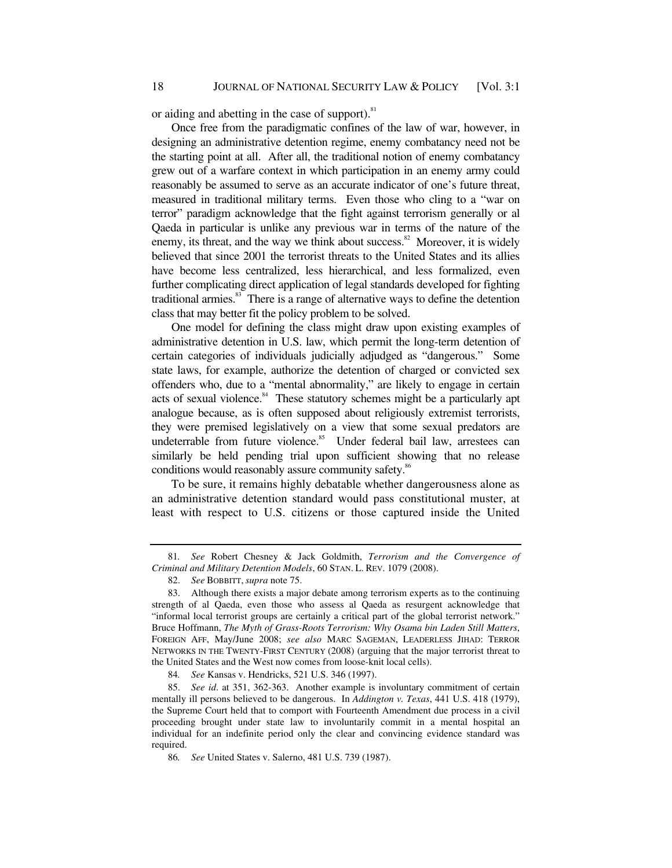or aiding and abetting in the case of support). $81$ 

Once free from the paradigmatic confines of the law of war, however, in designing an administrative detention regime, enemy combatancy need not be the starting point at all. After all, the traditional notion of enemy combatancy grew out of a warfare context in which participation in an enemy army could reasonably be assumed to serve as an accurate indicator of one's future threat, measured in traditional military terms. Even those who cling to a "war on terror" paradigm acknowledge that the fight against terrorism generally or al Qaeda in particular is unlike any previous war in terms of the nature of the enemy, its threat, and the way we think about success. $82$  Moreover, it is widely believed that since 2001 the terrorist threats to the United States and its allies have become less centralized, less hierarchical, and less formalized, even further complicating direct application of legal standards developed for fighting traditional armies.<sup>83</sup> There is a range of alternative ways to define the detention class that may better fit the policy problem to be solved.

One model for defining the class might draw upon existing examples of administrative detention in U.S. law, which permit the long-term detention of certain categories of individuals judicially adjudged as "dangerous." Some state laws, for example, authorize the detention of charged or convicted sex offenders who, due to a "mental abnormality," are likely to engage in certain acts of sexual violence. $84$  These statutory schemes might be a particularly apt analogue because, as is often supposed about religiously extremist terrorists, they were premised legislatively on a view that some sexual predators are undeterrable from future violence.<sup>85</sup> Under federal bail law, arrestees can similarly be held pending trial upon sufficient showing that no release conditions would reasonably assure community safety.<sup>86</sup>

To be sure, it remains highly debatable whether dangerousness alone as an administrative detention standard would pass constitutional muster, at least with respect to U.S. citizens or those captured inside the United

<sup>81</sup>*. See* Robert Chesney & Jack Goldmith, *Terrorism and the Convergence of Criminal and Military Detention Models*, 60 STAN. L. REV. 1079 (2008).

 <sup>82.</sup> *See* BOBBITT,*supra* note 75.

 <sup>83.</sup> Although there exists a major debate among terrorism experts as to the continuing strength of al Qaeda, even those who assess al Qaeda as resurgent acknowledge that "informal local terrorist groups are certainly a critical part of the global terrorist network." Bruce Hoffmann, *The Myth of Grass-Roots Terrorism: Why Osama bin Laden Still Matters*, FOREIGN AFF, May/June 2008; *see also* MARC SAGEMAN, LEADERLESS JIHAD: TERROR NETWORKS IN THE TWENTY-FIRST CENTURY (2008) (arguing that the major terrorist threat to the United States and the West now comes from loose-knit local cells).

<sup>84</sup>*. See* Kansas v. Hendricks, 521 U.S. 346 (1997).

 <sup>85.</sup> *See id*. at 351, 362-363. Another example is involuntary commitment of certain mentally ill persons believed to be dangerous. In *Addington v. Texas*, 441 U.S. 418 (1979), the Supreme Court held that to comport with Fourteenth Amendment due process in a civil proceeding brought under state law to involuntarily commit in a mental hospital an individual for an indefinite period only the clear and convincing evidence standard was required.

<sup>86</sup>*. See* United States v. Salerno, 481 U.S. 739 (1987).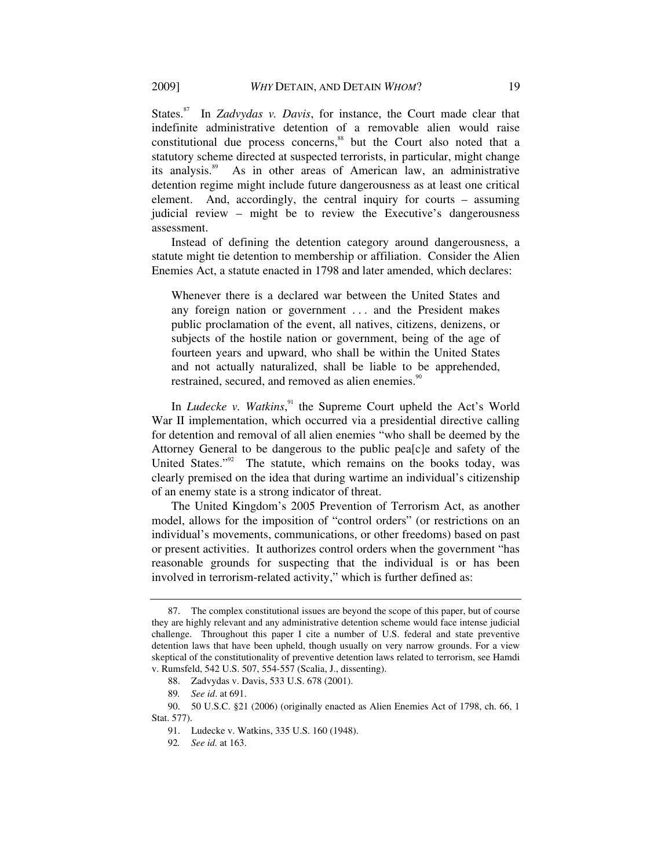States.<sup>87</sup> In *Zadvydas v. Davis*, for instance, the Court made clear that indefinite administrative detention of a removable alien would raise constitutional due process concerns,<sup>88</sup> but the Court also noted that a statutory scheme directed at suspected terrorists, in particular, might change its analysis.89 As in other areas of American law, an administrative detention regime might include future dangerousness as at least one critical element. And, accordingly, the central inquiry for courts – assuming judicial review – might be to review the Executive's dangerousness assessment.

Instead of defining the detention category around dangerousness, a statute might tie detention to membership or affiliation. Consider the Alien Enemies Act, a statute enacted in 1798 and later amended, which declares:

Whenever there is a declared war between the United States and any foreign nation or government . . . and the President makes public proclamation of the event, all natives, citizens, denizens, or subjects of the hostile nation or government, being of the age of fourteen years and upward, who shall be within the United States and not actually naturalized, shall be liable to be apprehended, restrained, secured, and removed as alien enemies.<sup>90</sup>

In *Ludecke v. Watkins*,<sup>91</sup> the Supreme Court upheld the Act's World War II implementation, which occurred via a presidential directive calling for detention and removal of all alien enemies "who shall be deemed by the Attorney General to be dangerous to the public pea[c]e and safety of the United States."<sup>92</sup> The statute, which remains on the books today, was clearly premised on the idea that during wartime an individual's citizenship of an enemy state is a strong indicator of threat.

The United Kingdom's 2005 Prevention of Terrorism Act, as another model, allows for the imposition of "control orders" (or restrictions on an individual's movements, communications, or other freedoms) based on past or present activities. It authorizes control orders when the government "has reasonable grounds for suspecting that the individual is or has been involved in terrorism-related activity," which is further defined as:

 <sup>87.</sup> The complex constitutional issues are beyond the scope of this paper, but of course they are highly relevant and any administrative detention scheme would face intense judicial challenge. Throughout this paper I cite a number of U.S. federal and state preventive detention laws that have been upheld, though usually on very narrow grounds. For a view skeptical of the constitutionality of preventive detention laws related to terrorism, see Hamdi v. Rumsfeld, 542 U.S. 507, 554-557 (Scalia, J., dissenting).

 <sup>88.</sup> Zadvydas v. Davis, 533 U.S. 678 (2001).

<sup>89</sup>*. See id*. at 691.

 <sup>90. 50</sup> U.S.C. §21 (2006) (originally enacted as Alien Enemies Act of 1798, ch. 66, 1 Stat. 577).

 <sup>91.</sup> Ludecke v. Watkins, 335 U.S. 160 (1948).

<sup>92</sup>*. See id.* at 163.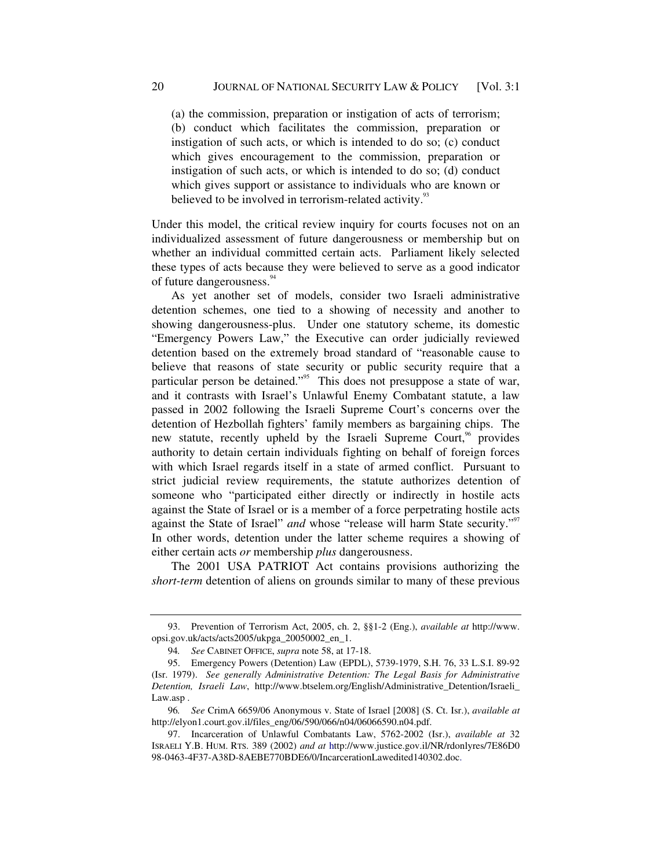(a) the commission, preparation or instigation of acts of terrorism; (b) conduct which facilitates the commission, preparation or instigation of such acts, or which is intended to do so; (c) conduct which gives encouragement to the commission, preparation or instigation of such acts, or which is intended to do so; (d) conduct which gives support or assistance to individuals who are known or believed to be involved in terrorism-related activity.<sup>93</sup>

Under this model, the critical review inquiry for courts focuses not on an individualized assessment of future dangerousness or membership but on whether an individual committed certain acts. Parliament likely selected these types of acts because they were believed to serve as a good indicator of future dangerousness.<sup>94</sup>

As yet another set of models, consider two Israeli administrative detention schemes, one tied to a showing of necessity and another to showing dangerousness-plus. Under one statutory scheme, its domestic "Emergency Powers Law," the Executive can order judicially reviewed detention based on the extremely broad standard of "reasonable cause to believe that reasons of state security or public security require that a particular person be detained."<sup>95</sup> This does not presuppose a state of war, and it contrasts with Israel's Unlawful Enemy Combatant statute, a law passed in 2002 following the Israeli Supreme Court's concerns over the detention of Hezbollah fighters' family members as bargaining chips. The new statute, recently upheld by the Israeli Supreme Court,<sup>96</sup> provides authority to detain certain individuals fighting on behalf of foreign forces with which Israel regards itself in a state of armed conflict. Pursuant to strict judicial review requirements, the statute authorizes detention of someone who "participated either directly or indirectly in hostile acts against the State of Israel or is a member of a force perpetrating hostile acts against the State of Israel" *and* whose "release will harm State security."<sup>97</sup> In other words, detention under the latter scheme requires a showing of either certain acts *or* membership *plus* dangerousness.

The 2001 USA PATRIOT Act contains provisions authorizing the *short-term* detention of aliens on grounds similar to many of these previous

 <sup>93.</sup> Prevention of Terrorism Act, 2005, ch. 2, §§1-2 (Eng.), *available at* http://www. opsi.gov.uk/acts/acts2005/ukpga\_20050002\_en\_1.

<sup>94</sup>*. See* CABINET OFFICE, *supra* note 58, at 17-18.

 <sup>95.</sup> Emergency Powers (Detention) Law (EPDL), 5739-1979, S.H. 76, 33 L.S.I. 89-92 (Isr. 1979). *See generally Administrative Detention: The Legal Basis for Administrative Detention, Israeli Law*, http://www.btselem.org/English/Administrative\_Detention/Israeli\_ Law.asp .

<sup>96</sup>*. See* CrimA 6659/06 Anonymous v. State of Israel [2008] (S. Ct. Isr.), *available at* http://elyon1.court.gov.il/files\_eng/06/590/066/n04/06066590.n04.pdf.

 <sup>97.</sup> Incarceration of Unlawful Combatants Law, 5762-2002 (Isr.), *available at* 32 ISRAELI Y.B. HUM. RTS. 389 (2002) *and at* http://www.justice.gov.il/NR/rdonlyres/7E86D0 98-0463-4F37-A38D-8AEBE770BDE6/0/IncarcerationLawedited140302.doc.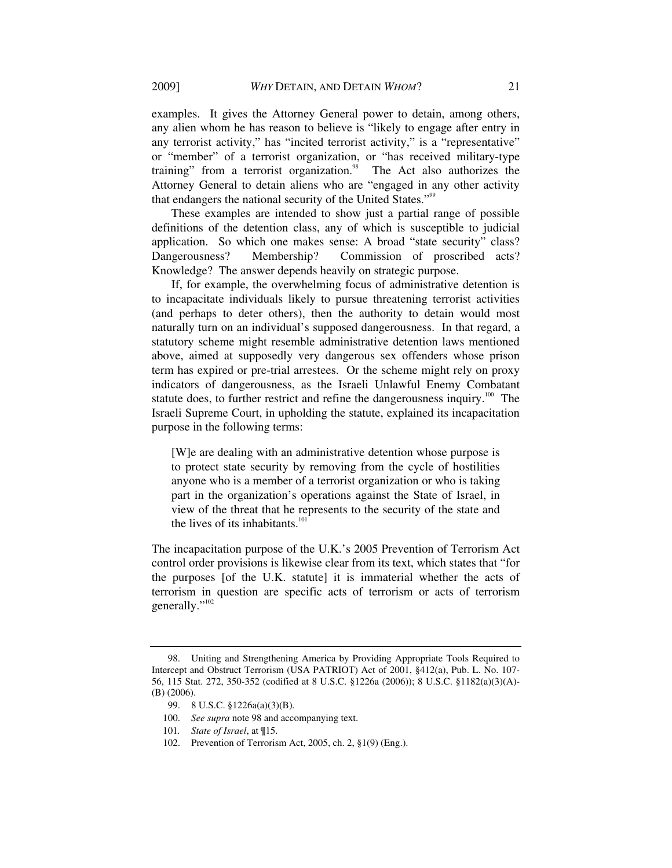examples. It gives the Attorney General power to detain, among others, any alien whom he has reason to believe is "likely to engage after entry in any terrorist activity," has "incited terrorist activity," is a "representative" or "member" of a terrorist organization, or "has received military-type training" from a terrorist organization.<sup>98</sup> The Act also authorizes the Attorney General to detain aliens who are "engaged in any other activity that endangers the national security of the United States."<sup>99</sup>

These examples are intended to show just a partial range of possible definitions of the detention class, any of which is susceptible to judicial application. So which one makes sense: A broad "state security" class? Dangerousness? Membership? Commission of proscribed acts? Knowledge? The answer depends heavily on strategic purpose.

If, for example, the overwhelming focus of administrative detention is to incapacitate individuals likely to pursue threatening terrorist activities (and perhaps to deter others), then the authority to detain would most naturally turn on an individual's supposed dangerousness. In that regard, a statutory scheme might resemble administrative detention laws mentioned above, aimed at supposedly very dangerous sex offenders whose prison term has expired or pre-trial arrestees. Or the scheme might rely on proxy indicators of dangerousness, as the Israeli Unlawful Enemy Combatant statute does, to further restrict and refine the dangerousness inquiry.<sup>100</sup> The Israeli Supreme Court, in upholding the statute, explained its incapacitation purpose in the following terms:

[W]e are dealing with an administrative detention whose purpose is to protect state security by removing from the cycle of hostilities anyone who is a member of a terrorist organization or who is taking part in the organization's operations against the State of Israel, in view of the threat that he represents to the security of the state and the lives of its inhabitants.<sup>101</sup>

The incapacitation purpose of the U.K.'s 2005 Prevention of Terrorism Act control order provisions is likewise clear from its text, which states that "for the purposes [of the U.K. statute] it is immaterial whether the acts of terrorism in question are specific acts of terrorism or acts of terrorism generally."<sup>102</sup>

 <sup>98.</sup> Uniting and Strengthening America by Providing Appropriate Tools Required to Intercept and Obstruct Terrorism (USA PATRIOT) Act of 2001, §412(a), Pub. L. No. 107- 56, 115 Stat. 272, 350-352 (codified at 8 U.S.C. §1226a (2006)); 8 U.S.C. §1182(a)(3)(A)- (B) (2006).

 <sup>99. 8</sup> U.S.C. §1226a(a)(3)(B)*.*

 <sup>100.</sup> *See supra* note 98 and accompanying text.

<sup>101</sup>*. State of Israel*, at ¶15.

 <sup>102.</sup> Prevention of Terrorism Act, 2005, ch. 2, §1(9) (Eng.).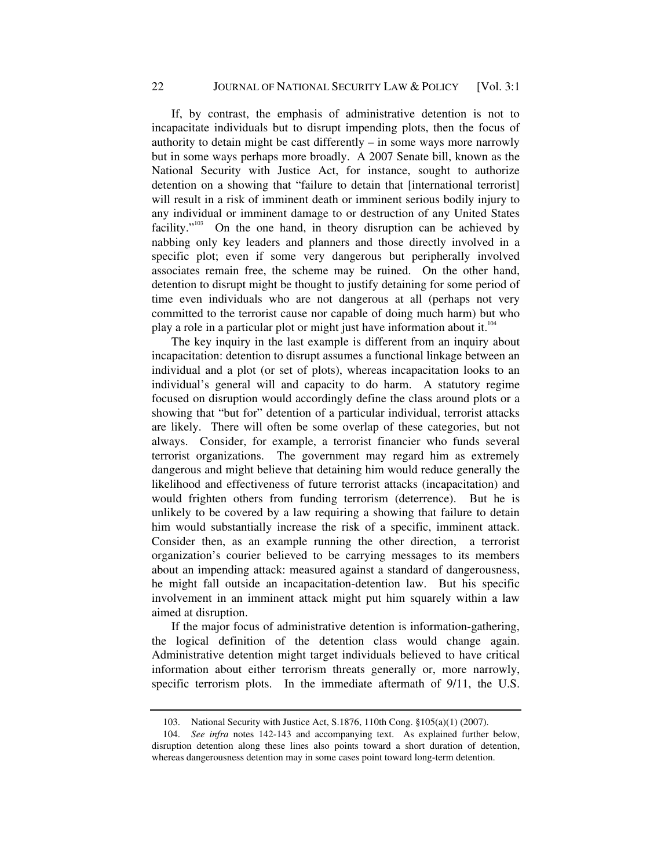If, by contrast, the emphasis of administrative detention is not to incapacitate individuals but to disrupt impending plots, then the focus of authority to detain might be cast differently – in some ways more narrowly but in some ways perhaps more broadly. A 2007 Senate bill, known as the National Security with Justice Act, for instance, sought to authorize detention on a showing that "failure to detain that [international terrorist] will result in a risk of imminent death or imminent serious bodily injury to any individual or imminent damage to or destruction of any United States facility." $103$  On the one hand, in theory disruption can be achieved by nabbing only key leaders and planners and those directly involved in a specific plot; even if some very dangerous but peripherally involved associates remain free, the scheme may be ruined. On the other hand, detention to disrupt might be thought to justify detaining for some period of time even individuals who are not dangerous at all (perhaps not very committed to the terrorist cause nor capable of doing much harm) but who play a role in a particular plot or might just have information about it.<sup>104</sup>

The key inquiry in the last example is different from an inquiry about incapacitation: detention to disrupt assumes a functional linkage between an individual and a plot (or set of plots), whereas incapacitation looks to an individual's general will and capacity to do harm. A statutory regime focused on disruption would accordingly define the class around plots or a showing that "but for" detention of a particular individual, terrorist attacks are likely. There will often be some overlap of these categories, but not always. Consider, for example, a terrorist financier who funds several terrorist organizations. The government may regard him as extremely dangerous and might believe that detaining him would reduce generally the likelihood and effectiveness of future terrorist attacks (incapacitation) and would frighten others from funding terrorism (deterrence). But he is unlikely to be covered by a law requiring a showing that failure to detain him would substantially increase the risk of a specific, imminent attack. Consider then, as an example running the other direction, a terrorist organization's courier believed to be carrying messages to its members about an impending attack: measured against a standard of dangerousness, he might fall outside an incapacitation-detention law. But his specific involvement in an imminent attack might put him squarely within a law aimed at disruption.

If the major focus of administrative detention is information-gathering, the logical definition of the detention class would change again. Administrative detention might target individuals believed to have critical information about either terrorism threats generally or, more narrowly, specific terrorism plots. In the immediate aftermath of 9/11, the U.S.

 <sup>103.</sup> National Security with Justice Act, S.1876, 110th Cong. §105(a)(1) (2007).

 <sup>104.</sup> *See infra* notes 142-143 and accompanying text. As explained further below, disruption detention along these lines also points toward a short duration of detention, whereas dangerousness detention may in some cases point toward long-term detention.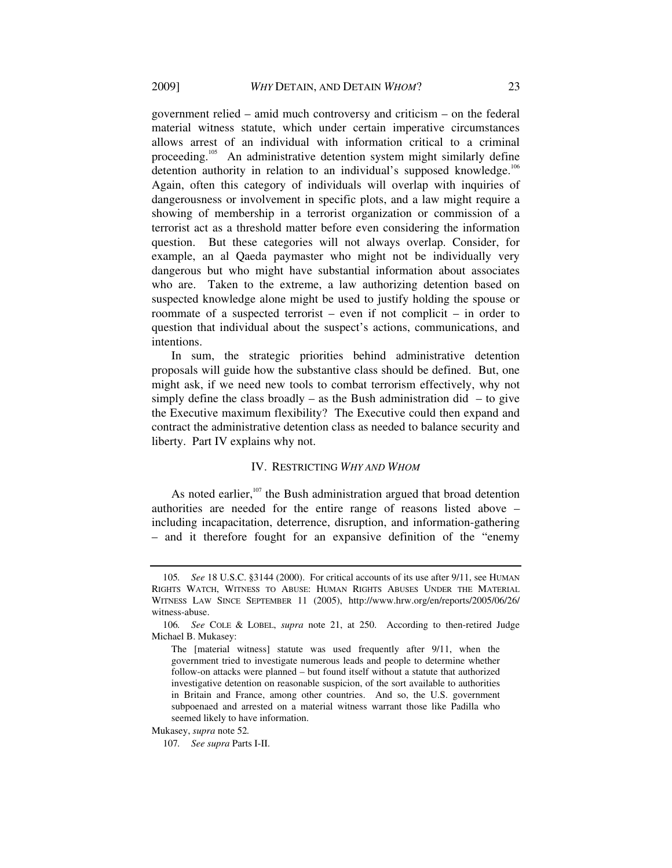government relied – amid much controversy and criticism – on the federal material witness statute, which under certain imperative circumstances allows arrest of an individual with information critical to a criminal proceeding.<sup>105</sup> An administrative detention system might similarly define detention authority in relation to an individual's supposed knowledge.<sup>106</sup> Again, often this category of individuals will overlap with inquiries of dangerousness or involvement in specific plots, and a law might require a showing of membership in a terrorist organization or commission of a terrorist act as a threshold matter before even considering the information question. But these categories will not always overlap. Consider, for example, an al Qaeda paymaster who might not be individually very dangerous but who might have substantial information about associates who are. Taken to the extreme, a law authorizing detention based on suspected knowledge alone might be used to justify holding the spouse or roommate of a suspected terrorist – even if not complicit – in order to question that individual about the suspect's actions, communications, and intentions.

In sum, the strategic priorities behind administrative detention proposals will guide how the substantive class should be defined. But, one might ask, if we need new tools to combat terrorism effectively, why not simply define the class broadly – as the Bush administration did – to give the Executive maximum flexibility? The Executive could then expand and contract the administrative detention class as needed to balance security and liberty. Part IV explains why not.

### IV. RESTRICTING *WHY AND WHOM*

As noted earlier, $107$  the Bush administration argued that broad detention authorities are needed for the entire range of reasons listed above – including incapacitation, deterrence, disruption, and information-gathering – and it therefore fought for an expansive definition of the "enemy

Mukasey, *supra* note 52*.*

<sup>105</sup>*. See* 18 U.S.C. §3144 (2000). For critical accounts of its use after 9/11, see HUMAN RIGHTS WATCH, WITNESS TO ABUSE: HUMAN RIGHTS ABUSES UNDER THE MATERIAL WITNESS LAW SINCE SEPTEMBER 11 (2005), http://www.hrw.org/en/reports/2005/06/26/ witness-abuse.

<sup>106</sup>*. See* COLE & LOBEL, *supra* note 21, at 250. According to then-retired Judge Michael B. Mukasey:

The [material witness] statute was used frequently after 9/11, when the government tried to investigate numerous leads and people to determine whether follow-on attacks were planned – but found itself without a statute that authorized investigative detention on reasonable suspicion, of the sort available to authorities in Britain and France, among other countries. And so, the U.S. government subpoenaed and arrested on a material witness warrant those like Padilla who seemed likely to have information.

<sup>107</sup>*. See supra* Parts I-II.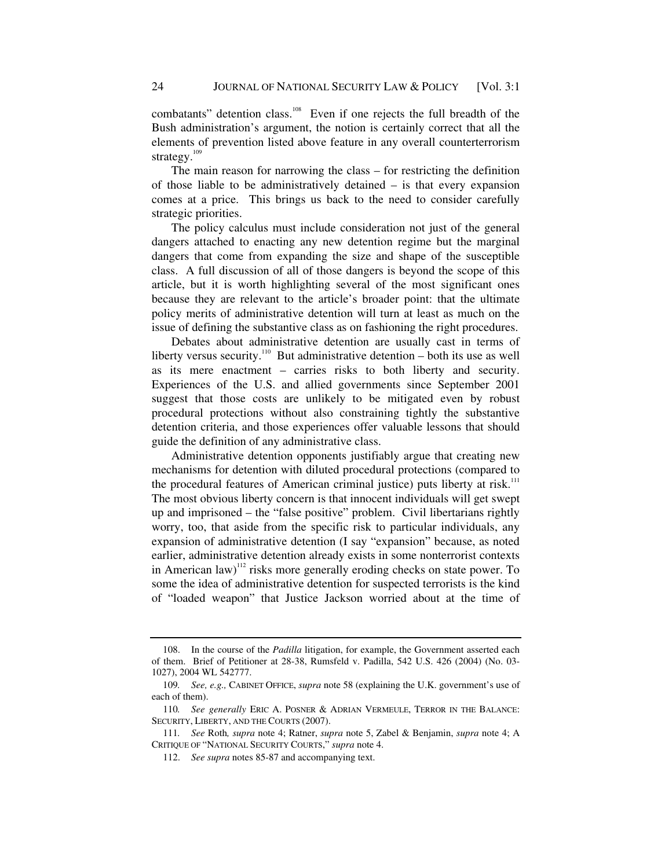combatants" detention class.<sup>108</sup> Even if one rejects the full breadth of the Bush administration's argument, the notion is certainly correct that all the elements of prevention listed above feature in any overall counterterrorism strategy.<sup>109</sup>

The main reason for narrowing the class – for restricting the definition of those liable to be administratively detained – is that every expansion comes at a price. This brings us back to the need to consider carefully strategic priorities.

The policy calculus must include consideration not just of the general dangers attached to enacting any new detention regime but the marginal dangers that come from expanding the size and shape of the susceptible class. A full discussion of all of those dangers is beyond the scope of this article, but it is worth highlighting several of the most significant ones because they are relevant to the article's broader point: that the ultimate policy merits of administrative detention will turn at least as much on the issue of defining the substantive class as on fashioning the right procedures.

Debates about administrative detention are usually cast in terms of liberty versus security.<sup>110</sup> But administrative detention – both its use as well as its mere enactment – carries risks to both liberty and security. Experiences of the U.S. and allied governments since September 2001 suggest that those costs are unlikely to be mitigated even by robust procedural protections without also constraining tightly the substantive detention criteria, and those experiences offer valuable lessons that should guide the definition of any administrative class.

Administrative detention opponents justifiably argue that creating new mechanisms for detention with diluted procedural protections (compared to the procedural features of American criminal justice) puts liberty at risk.<sup>111</sup> The most obvious liberty concern is that innocent individuals will get swept up and imprisoned – the "false positive" problem. Civil libertarians rightly worry, too, that aside from the specific risk to particular individuals, any expansion of administrative detention (I say "expansion" because, as noted earlier, administrative detention already exists in some nonterrorist contexts in American law)<sup>112</sup> risks more generally eroding checks on state power. To some the idea of administrative detention for suspected terrorists is the kind of "loaded weapon" that Justice Jackson worried about at the time of

 <sup>108.</sup> In the course of the *Padilla* litigation, for example, the Government asserted each of them. Brief of Petitioner at 28-38, Rumsfeld v. Padilla, 542 U.S. 426 (2004) (No. 03- 1027), 2004 WL 542777.

<sup>109</sup>*. See, e.g.,* CABINET OFFICE, *supra* note 58 (explaining the U.K. government's use of each of them).

<sup>110</sup>*. See generally* ERIC A. POSNER & ADRIAN VERMEULE, TERROR IN THE BALANCE: SECURITY, LIBERTY, AND THE COURTS (2007).

<sup>111</sup>*. See* Roth*, supra* note 4; Ratner, *supra* note 5, Zabel & Benjamin, *supra* note 4; A CRITIQUE OF "NATIONAL SECURITY COURTS," *supra* note 4.

 <sup>112.</sup> *See supra* notes 85-87 and accompanying text.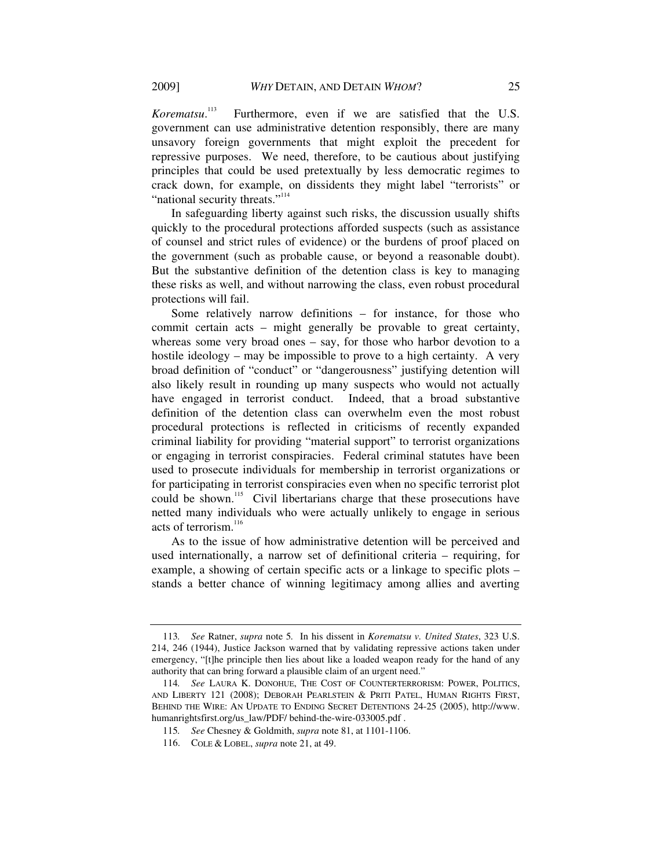*Korematsu*. Furthermore, even if we are satisfied that the U.S. government can use administrative detention responsibly, there are many unsavory foreign governments that might exploit the precedent for repressive purposes. We need, therefore, to be cautious about justifying principles that could be used pretextually by less democratic regimes to crack down, for example, on dissidents they might label "terrorists" or "national security threats."<sup>114</sup>

In safeguarding liberty against such risks, the discussion usually shifts quickly to the procedural protections afforded suspects (such as assistance of counsel and strict rules of evidence) or the burdens of proof placed on the government (such as probable cause, or beyond a reasonable doubt). But the substantive definition of the detention class is key to managing these risks as well, and without narrowing the class, even robust procedural protections will fail.

Some relatively narrow definitions – for instance, for those who commit certain acts – might generally be provable to great certainty, whereas some very broad ones – say, for those who harbor devotion to a hostile ideology – may be impossible to prove to a high certainty. A very broad definition of "conduct" or "dangerousness" justifying detention will also likely result in rounding up many suspects who would not actually have engaged in terrorist conduct. Indeed, that a broad substantive definition of the detention class can overwhelm even the most robust procedural protections is reflected in criticisms of recently expanded criminal liability for providing "material support" to terrorist organizations or engaging in terrorist conspiracies. Federal criminal statutes have been used to prosecute individuals for membership in terrorist organizations or for participating in terrorist conspiracies even when no specific terrorist plot could be shown.<sup>115</sup> Civil libertarians charge that these prosecutions have netted many individuals who were actually unlikely to engage in serious acts of terrorism.<sup>116</sup>

As to the issue of how administrative detention will be perceived and used internationally, a narrow set of definitional criteria – requiring, for example, a showing of certain specific acts or a linkage to specific plots – stands a better chance of winning legitimacy among allies and averting

<sup>113</sup>*. See* Ratner, *supra* note 5*.* In his dissent in *Korematsu v. United States*, 323 U.S. 214, 246 (1944), Justice Jackson warned that by validating repressive actions taken under emergency, "[t]he principle then lies about like a loaded weapon ready for the hand of any authority that can bring forward a plausible claim of an urgent need."

<sup>114</sup>*. See* LAURA K. DONOHUE, THE COST OF COUNTERTERRORISM: POWER, POLITICS, AND LIBERTY 121 (2008); DEBORAH PEARLSTEIN & PRITI PATEL, HUMAN RIGHTS FIRST, BEHIND THE WIRE: AN UPDATE TO ENDING SECRET DETENTIONS 24-25 (2005), http://www. humanrightsfirst.org/us\_law/PDF/ behind-the-wire-033005.pdf .

<sup>115</sup>*. See* Chesney & Goldmith, *supra* note 81, at 1101-1106.

 <sup>116.</sup> COLE & LOBEL, *supra* note 21, at 49.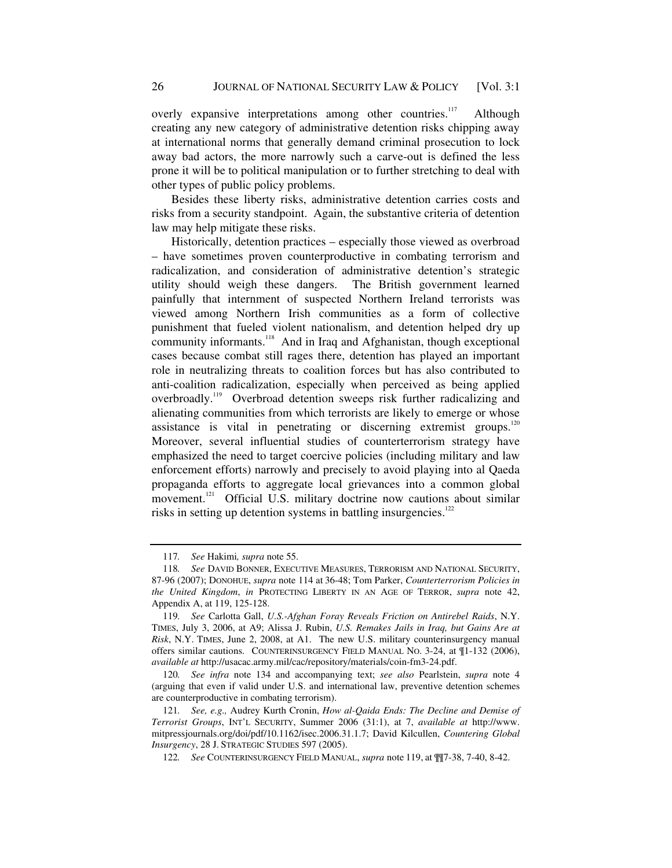overly expansive interpretations among other countries.<sup>117</sup> Although creating any new category of administrative detention risks chipping away at international norms that generally demand criminal prosecution to lock away bad actors, the more narrowly such a carve-out is defined the less prone it will be to political manipulation or to further stretching to deal with other types of public policy problems.

Besides these liberty risks, administrative detention carries costs and risks from a security standpoint. Again, the substantive criteria of detention law may help mitigate these risks.

Historically, detention practices – especially those viewed as overbroad – have sometimes proven counterproductive in combating terrorism and radicalization, and consideration of administrative detention's strategic utility should weigh these dangers. The British government learned painfully that internment of suspected Northern Ireland terrorists was viewed among Northern Irish communities as a form of collective punishment that fueled violent nationalism, and detention helped dry up community informants.<sup>118</sup> And in Iraq and Afghanistan, though exceptional cases because combat still rages there, detention has played an important role in neutralizing threats to coalition forces but has also contributed to anti-coalition radicalization, especially when perceived as being applied overbroadly.<sup>119</sup> Overbroad detention sweeps risk further radicalizing and alienating communities from which terrorists are likely to emerge or whose assistance is vital in penetrating or discerning extremist groups. $120$ Moreover, several influential studies of counterterrorism strategy have emphasized the need to target coercive policies (including military and law enforcement efforts) narrowly and precisely to avoid playing into al Qaeda propaganda efforts to aggregate local grievances into a common global movement.<sup>121</sup> Official U.S. military doctrine now cautions about similar risks in setting up detention systems in battling insurgencies. $122$ 

<sup>117</sup>*. See* Hakimi*, supra* note 55.

<sup>118</sup>*. See* DAVID BONNER, EXECUTIVE MEASURES, TERRORISM AND NATIONAL SECURITY, 87-96 (2007); DONOHUE, *supra* note 114 at 36-48; Tom Parker, *Counterterrorism Policies in the United Kingdom*, *in* PROTECTING LIBERTY IN AN AGE OF TERROR, *supra* note 42, Appendix A, at 119, 125-128.

<sup>119</sup>*. See* Carlotta Gall, *U.S.-Afghan Foray Reveals Friction on Antirebel Raids*, N.Y. TIMES, July 3, 2006, at A9; Alissa J. Rubin, *U.S. Remakes Jails in Iraq, but Gains Are at Risk*, N.Y. TIMES, June 2, 2008, at A1. The new U.S. military counterinsurgency manual offers similar cautions. COUNTERINSURGENCY FIELD MANUAL NO. 3-24, at ¶1-132 (2006), *available at* http://usacac.army.mil/cac/repository/materials/coin-fm3-24.pdf.

<sup>120</sup>*. See infra* note 134 and accompanying text; *see also* Pearlstein, *supra* note 4 (arguing that even if valid under U.S. and international law, preventive detention schemes are counterproductive in combating terrorism).

<sup>121</sup>*. See, e.g.,* Audrey Kurth Cronin, *How al-Qaida Ends: The Decline and Demise of Terrorist Groups*, INT'L SECURITY, Summer 2006 (31:1), at 7, *available at* http://www. mitpressjournals.org/doi/pdf/10.1162/isec.2006.31.1.7; David Kilcullen, *Countering Global Insurgency*, 28 J. STRATEGIC STUDIES 597 (2005).

<sup>122</sup>*. See* COUNTERINSURGENCY FIELD MANUAL, *supra* note 119, at ¶¶7-38, 7-40, 8-42.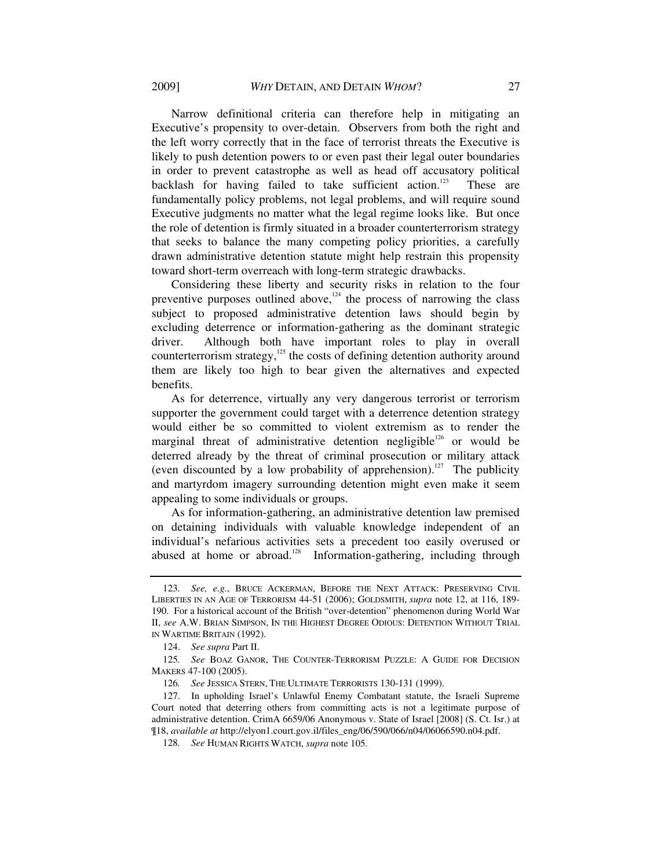Narrow definitional criteria can therefore help in mitigating an Executive's propensity to over-detain. Observers from both the right and the left worry correctly that in the face of terrorist threats the Executive is likely to push detention powers to or even past their legal outer boundaries in order to prevent catastrophe as well as head off accusatory political backlash for having failed to take sufficient action.<sup>123</sup> These are fundamentally policy problems, not legal problems, and will require sound Executive judgments no matter what the legal regime looks like. But once the role of detention is firmly situated in a broader counterterrorism strategy that seeks to balance the many competing policy priorities, a carefully drawn administrative detention statute might help restrain this propensity toward short-term overreach with long-term strategic drawbacks.

Considering these liberty and security risks in relation to the four preventive purposes outlined above, $124$  the process of narrowing the class subject to proposed administrative detention laws should begin by excluding deterrence or information-gathering as the dominant strategic driver. Although both have important roles to play in overall counterterrorism strategy, $125$  the costs of defining detention authority around them are likely too high to bear given the alternatives and expected benefits.

As for deterrence, virtually any very dangerous terrorist or terrorism supporter the government could target with a deterrence detention strategy would either be so committed to violent extremism as to render the marginal threat of administrative detention negligible<sup>126</sup> or would be deterred already by the threat of criminal prosecution or military attack (even discounted by a low probability of apprehension).<sup>127</sup> The publicity and martyrdom imagery surrounding detention might even make it seem appealing to some individuals or groups.

As for information-gathering, an administrative detention law premised on detaining individuals with valuable knowledge independent of an individual's nefarious activities sets a precedent too easily overused or abused at home or abroad.<sup>128</sup> Information-gathering, including through

<sup>123</sup>*. See, e.g.*, BRUCE ACKERMAN, BEFORE THE NEXT ATTACK: PRESERVING CIVIL LIBERTIES IN AN AGE OF TERRORISM 44-51 (2006); GOLDSMITH, *supra* note 12, at 116, 189- 190. For a historical account of the British "over-detention" phenomenon during World War II, *see* A.W. BRIAN SIMPSON, IN THE HIGHEST DEGREE ODIOUS: DETENTION WITHOUT TRIAL IN WARTIME BRITAIN (1992).

 <sup>124.</sup> *See supra* Part II.

<sup>125</sup>*. See* BOAZ GANOR, THE COUNTER-TERRORISM PUZZLE: A GUIDE FOR DECISION MAKERS 47-100 (2005).

<sup>126</sup>*. See* JESSICA STERN, THE ULTIMATE TERRORISTS 130-131 (1999).

 <sup>127.</sup> In upholding Israel's Unlawful Enemy Combatant statute, the Israeli Supreme Court noted that deterring others from committing acts is not a legitimate purpose of administrative detention. CrimA 6659/06 Anonymous v. State of Israel [2008] (S. Ct. Isr.) at ¶18, *available at* http://elyon1.court.gov.il/files\_eng/06/590/066/n04/06066590.n04.pdf.

<sup>128</sup>*. See* HUMAN RIGHTS WATCH, *supra* note 105.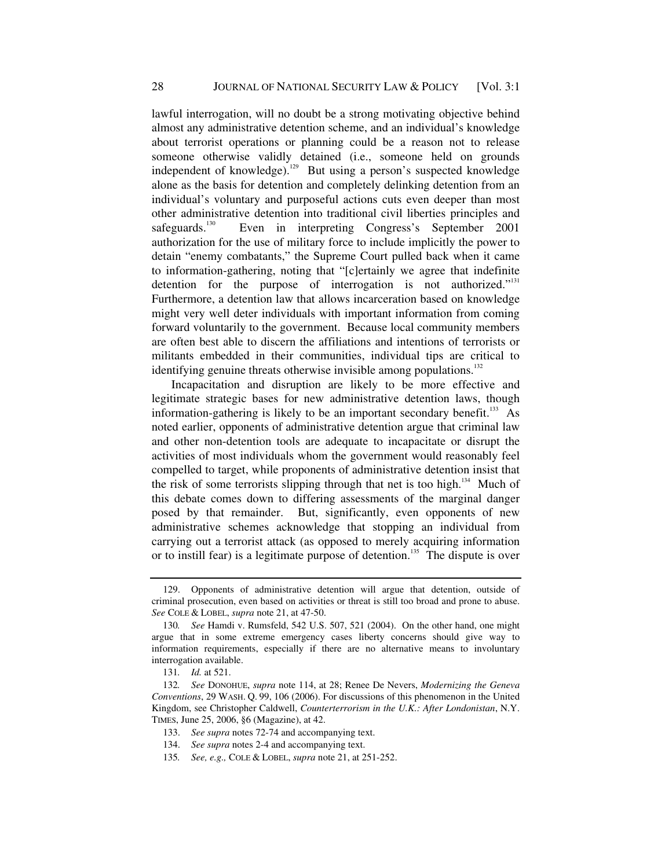lawful interrogation, will no doubt be a strong motivating objective behind almost any administrative detention scheme, and an individual's knowledge about terrorist operations or planning could be a reason not to release someone otherwise validly detained (i.e., someone held on grounds independent of knowledge).<sup>129</sup> But using a person's suspected knowledge alone as the basis for detention and completely delinking detention from an individual's voluntary and purposeful actions cuts even deeper than most other administrative detention into traditional civil liberties principles and safeguards.<sup>130</sup> Even in interpreting Congress's September 2001 authorization for the use of military force to include implicitly the power to detain "enemy combatants," the Supreme Court pulled back when it came to information-gathering, noting that "[c]ertainly we agree that indefinite detention for the purpose of interrogation is not authorized."<sup>131</sup> Furthermore, a detention law that allows incarceration based on knowledge might very well deter individuals with important information from coming forward voluntarily to the government. Because local community members are often best able to discern the affiliations and intentions of terrorists or militants embedded in their communities, individual tips are critical to identifying genuine threats otherwise invisible among populations. $132$ 

Incapacitation and disruption are likely to be more effective and legitimate strategic bases for new administrative detention laws, though information-gathering is likely to be an important secondary benefit.<sup>133</sup> As noted earlier, opponents of administrative detention argue that criminal law and other non-detention tools are adequate to incapacitate or disrupt the activities of most individuals whom the government would reasonably feel compelled to target, while proponents of administrative detention insist that the risk of some terrorists slipping through that net is too high.<sup>134</sup> Much of this debate comes down to differing assessments of the marginal danger posed by that remainder. But, significantly, even opponents of new administrative schemes acknowledge that stopping an individual from carrying out a terrorist attack (as opposed to merely acquiring information or to instill fear) is a legitimate purpose of detention.<sup>135</sup> The dispute is over

 <sup>129.</sup> Opponents of administrative detention will argue that detention, outside of criminal prosecution, even based on activities or threat is still too broad and prone to abuse. *See* COLE & LOBEL, *supra* note 21, at 47-50.

<sup>130</sup>*. See* Hamdi v. Rumsfeld, 542 U.S. 507, 521 (2004). On the other hand, one might argue that in some extreme emergency cases liberty concerns should give way to information requirements, especially if there are no alternative means to involuntary interrogation available.

<sup>131</sup>*. Id.* at 521.

<sup>132</sup>*. See* DONOHUE, *supra* note 114, at 28; Renee De Nevers, *Modernizing the Geneva Conventions*, 29 WASH. Q. 99, 106 (2006). For discussions of this phenomenon in the United Kingdom, see Christopher Caldwell, *Counterterrorism in the U.K.: After Londonistan*, N.Y. TIMES, June 25, 2006, §6 (Magazine), at 42.

 <sup>133.</sup> *See supra* notes 72-74 and accompanying text.

 <sup>134.</sup> *See supra* notes 2-4 and accompanying text.

<sup>135</sup>*. See, e.g.,* COLE & LOBEL, *supra* note 21, at 251-252.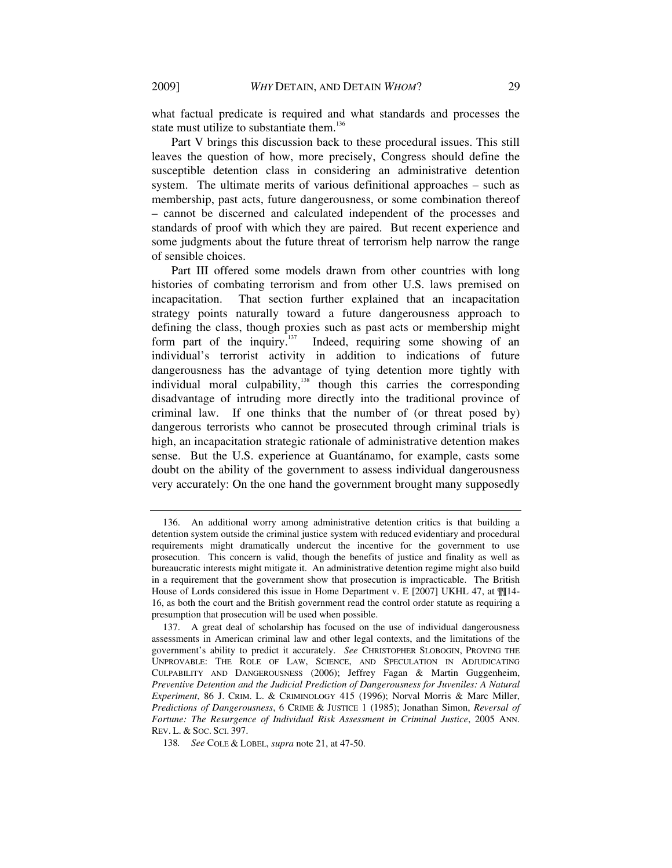what factual predicate is required and what standards and processes the state must utilize to substantiate them.<sup>136</sup>

Part V brings this discussion back to these procedural issues. This still leaves the question of how, more precisely, Congress should define the susceptible detention class in considering an administrative detention system. The ultimate merits of various definitional approaches – such as membership, past acts, future dangerousness, or some combination thereof – cannot be discerned and calculated independent of the processes and standards of proof with which they are paired. But recent experience and some judgments about the future threat of terrorism help narrow the range of sensible choices.

Part III offered some models drawn from other countries with long histories of combating terrorism and from other U.S. laws premised on incapacitation. That section further explained that an incapacitation strategy points naturally toward a future dangerousness approach to defining the class, though proxies such as past acts or membership might form part of the inquiry.<sup>137</sup> Indeed, requiring some showing of an Indeed, requiring some showing of an individual's terrorist activity in addition to indications of future dangerousness has the advantage of tying detention more tightly with individual moral culpability, $138$  though this carries the corresponding disadvantage of intruding more directly into the traditional province of criminal law. If one thinks that the number of (or threat posed by) dangerous terrorists who cannot be prosecuted through criminal trials is high, an incapacitation strategic rationale of administrative detention makes sense. But the U.S. experience at Guantánamo, for example, casts some doubt on the ability of the government to assess individual dangerousness very accurately: On the one hand the government brought many supposedly

 <sup>136.</sup> An additional worry among administrative detention critics is that building a detention system outside the criminal justice system with reduced evidentiary and procedural requirements might dramatically undercut the incentive for the government to use prosecution. This concern is valid, though the benefits of justice and finality as well as bureaucratic interests might mitigate it. An administrative detention regime might also build in a requirement that the government show that prosecution is impracticable. The British House of Lords considered this issue in Home Department v. E [2007] UKHL 47, at  $\mathbb{I}$ [14-16, as both the court and the British government read the control order statute as requiring a presumption that prosecution will be used when possible.

 <sup>137.</sup> A great deal of scholarship has focused on the use of individual dangerousness assessments in American criminal law and other legal contexts, and the limitations of the government's ability to predict it accurately. *See* CHRISTOPHER SLOBOGIN, PROVING THE UNPROVABLE: THE ROLE OF LAW, SCIENCE, AND SPECULATION IN ADJUDICATING CULPABILITY AND DANGEROUSNESS (2006); Jeffrey Fagan & Martin Guggenheim, *Preventive Detention and the Judicial Prediction of Dangerousness for Juveniles: A Natural Experiment*, 86 J. CRIM. L. & CRIMINOLOGY 415 (1996); Norval Morris & Marc Miller, *Predictions of Dangerousness*, 6 CRIME & JUSTICE 1 (1985); Jonathan Simon, *Reversal of Fortune: The Resurgence of Individual Risk Assessment in Criminal Justice*, 2005 ANN. REV. L. & SOC. SCI. 397.

<sup>138</sup>*. See* COLE & LOBEL, *supra* note 21, at 47-50.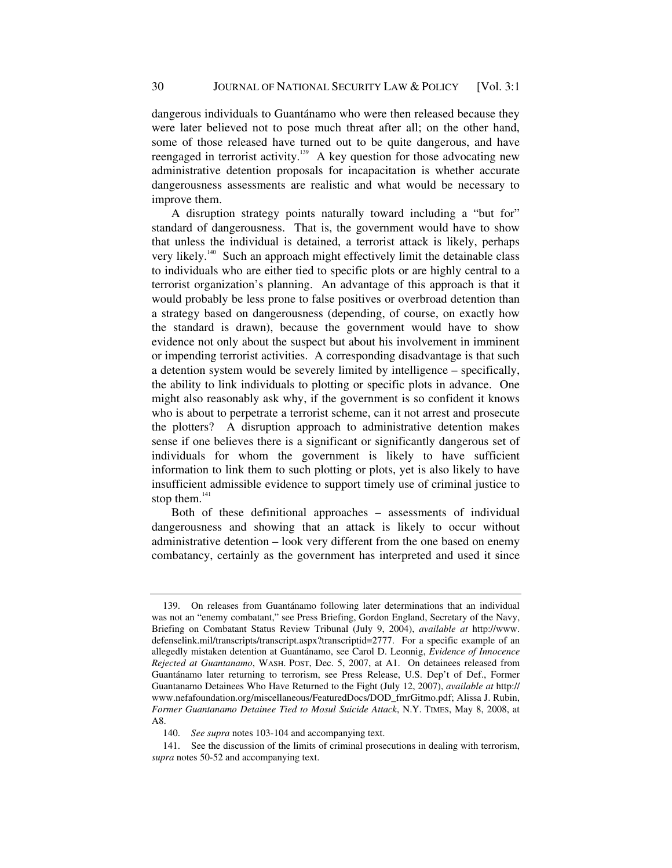dangerous individuals to Guantánamo who were then released because they were later believed not to pose much threat after all; on the other hand, some of those released have turned out to be quite dangerous, and have reengaged in terrorist activity.<sup>139</sup> A key question for those advocating new administrative detention proposals for incapacitation is whether accurate dangerousness assessments are realistic and what would be necessary to improve them.

A disruption strategy points naturally toward including a "but for" standard of dangerousness. That is, the government would have to show that unless the individual is detained, a terrorist attack is likely, perhaps very likely.<sup>140</sup> Such an approach might effectively limit the detainable class to individuals who are either tied to specific plots or are highly central to a terrorist organization's planning. An advantage of this approach is that it would probably be less prone to false positives or overbroad detention than a strategy based on dangerousness (depending, of course, on exactly how the standard is drawn), because the government would have to show evidence not only about the suspect but about his involvement in imminent or impending terrorist activities. A corresponding disadvantage is that such a detention system would be severely limited by intelligence – specifically, the ability to link individuals to plotting or specific plots in advance. One might also reasonably ask why, if the government is so confident it knows who is about to perpetrate a terrorist scheme, can it not arrest and prosecute the plotters? A disruption approach to administrative detention makes sense if one believes there is a significant or significantly dangerous set of individuals for whom the government is likely to have sufficient information to link them to such plotting or plots, yet is also likely to have insufficient admissible evidence to support timely use of criminal justice to stop them. $141$ 

Both of these definitional approaches – assessments of individual dangerousness and showing that an attack is likely to occur without administrative detention – look very different from the one based on enemy combatancy, certainly as the government has interpreted and used it since

 <sup>139.</sup> On releases from Guantánamo following later determinations that an individual was not an "enemy combatant," see Press Briefing, Gordon England, Secretary of the Navy, Briefing on Combatant Status Review Tribunal (July 9, 2004), *available at* http://www. defenselink.mil/transcripts/transcript.aspx?transcriptid=2777. For a specific example of an allegedly mistaken detention at Guantánamo, see Carol D. Leonnig, *Evidence of Innocence Rejected at Guantanamo*, WASH. POST, Dec. 5, 2007, at A1. On detainees released from Guantánamo later returning to terrorism, see Press Release, U.S. Dep't of Def., Former Guantanamo Detainees Who Have Returned to the Fight (July 12, 2007), *available at* http:// www.nefafoundation.org/miscellaneous/FeaturedDocs/DOD\_fmrGitmo.pdf; Alissa J. Rubin, *Former Guantanamo Detainee Tied to Mosul Suicide Attack*, N.Y. TIMES, May 8, 2008, at A8.

 <sup>140.</sup> *See supra* notes 103-104 and accompanying text.

 <sup>141.</sup> See the discussion of the limits of criminal prosecutions in dealing with terrorism, *supra* notes 50-52 and accompanying text.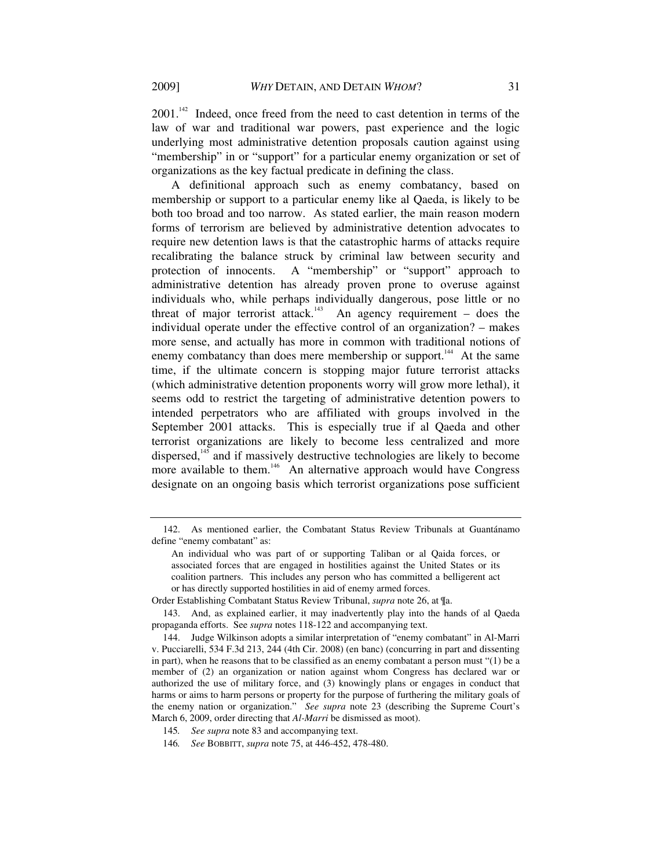2001.<sup>142</sup> Indeed, once freed from the need to cast detention in terms of the law of war and traditional war powers, past experience and the logic underlying most administrative detention proposals caution against using "membership" in or "support" for a particular enemy organization or set of organizations as the key factual predicate in defining the class.

A definitional approach such as enemy combatancy, based on membership or support to a particular enemy like al Qaeda, is likely to be both too broad and too narrow. As stated earlier, the main reason modern forms of terrorism are believed by administrative detention advocates to require new detention laws is that the catastrophic harms of attacks require recalibrating the balance struck by criminal law between security and protection of innocents. A "membership" or "support" approach to administrative detention has already proven prone to overuse against individuals who, while perhaps individually dangerous, pose little or no threat of major terrorist attack.<sup>143</sup> An agency requirement – does the individual operate under the effective control of an organization? – makes more sense, and actually has more in common with traditional notions of enemy combatancy than does mere membership or support.<sup>144</sup> At the same time, if the ultimate concern is stopping major future terrorist attacks (which administrative detention proponents worry will grow more lethal), it seems odd to restrict the targeting of administrative detention powers to intended perpetrators who are affiliated with groups involved in the September 2001 attacks. This is especially true if al Qaeda and other terrorist organizations are likely to become less centralized and more dispersed,<sup>145</sup> and if massively destructive technologies are likely to become more available to them.<sup>146</sup> An alternative approach would have Congress designate on an ongoing basis which terrorist organizations pose sufficient

Order Establishing Combatant Status Review Tribunal, *supra* note 26, at ¶a.

 <sup>142.</sup> As mentioned earlier, the Combatant Status Review Tribunals at Guantánamo define "enemy combatant" as:

An individual who was part of or supporting Taliban or al Qaida forces, or associated forces that are engaged in hostilities against the United States or its coalition partners. This includes any person who has committed a belligerent act or has directly supported hostilities in aid of enemy armed forces.

 <sup>143.</sup> And, as explained earlier, it may inadvertently play into the hands of al Qaeda propaganda efforts. See *supra* notes 118-122 and accompanying text.

 <sup>144.</sup> Judge Wilkinson adopts a similar interpretation of "enemy combatant" in Al-Marri v. Pucciarelli, 534 F.3d 213, 244 (4th Cir. 2008) (en banc) (concurring in part and dissenting in part), when he reasons that to be classified as an enemy combatant a person must "(1) be a member of (2) an organization or nation against whom Congress has declared war or authorized the use of military force, and (3) knowingly plans or engages in conduct that harms or aims to harm persons or property for the purpose of furthering the military goals of the enemy nation or organization." *See supra* note 23 (describing the Supreme Court's March 6, 2009, order directing that *Al-Marri* be dismissed as moot).

<sup>145</sup>*. See supra* note 83 and accompanying text.

<sup>146</sup>*. See* BOBBITT, *supra* note 75, at 446-452, 478-480.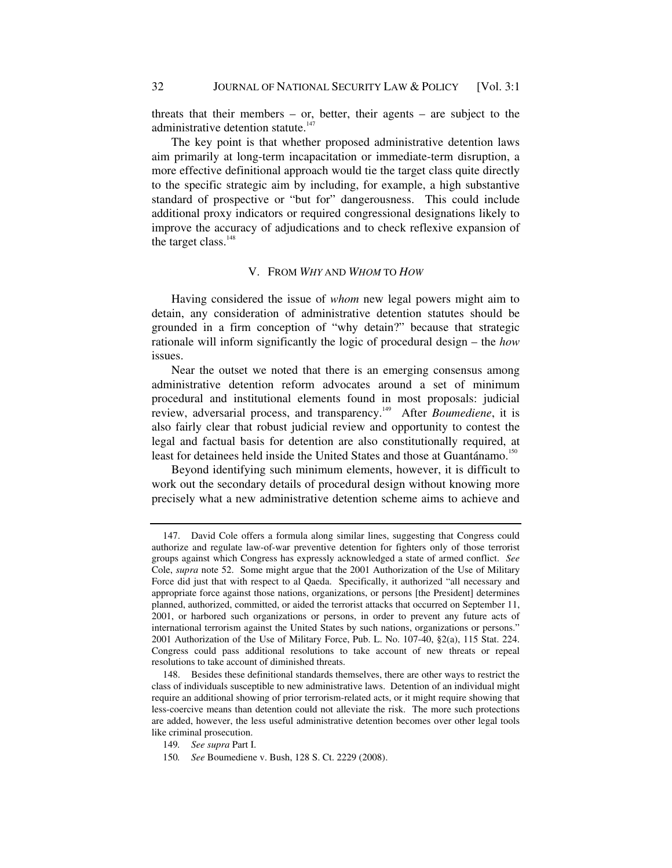threats that their members – or, better, their agents – are subject to the administrative detention statute.<sup>147</sup>

The key point is that whether proposed administrative detention laws aim primarily at long-term incapacitation or immediate-term disruption, a more effective definitional approach would tie the target class quite directly to the specific strategic aim by including, for example, a high substantive standard of prospective or "but for" dangerousness. This could include additional proxy indicators or required congressional designations likely to improve the accuracy of adjudications and to check reflexive expansion of the target class.<sup>148</sup>

#### V. FROM *WHY* AND *WHOM* TO *HOW*

Having considered the issue of *whom* new legal powers might aim to detain, any consideration of administrative detention statutes should be grounded in a firm conception of "why detain?" because that strategic rationale will inform significantly the logic of procedural design – the *how* issues.

Near the outset we noted that there is an emerging consensus among administrative detention reform advocates around a set of minimum procedural and institutional elements found in most proposals: judicial review, adversarial process, and transparency.<sup>149</sup> After *Boumediene*, it is also fairly clear that robust judicial review and opportunity to contest the legal and factual basis for detention are also constitutionally required, at least for detainees held inside the United States and those at Guantánamo.<sup>150</sup>

Beyond identifying such minimum elements, however, it is difficult to work out the secondary details of procedural design without knowing more precisely what a new administrative detention scheme aims to achieve and

 <sup>147.</sup> David Cole offers a formula along similar lines, suggesting that Congress could authorize and regulate law-of-war preventive detention for fighters only of those terrorist groups against which Congress has expressly acknowledged a state of armed conflict. *See*  Cole, *supra* note 52. Some might argue that the 2001 Authorization of the Use of Military Force did just that with respect to al Qaeda. Specifically, it authorized "all necessary and appropriate force against those nations, organizations, or persons [the President] determines planned, authorized, committed, or aided the terrorist attacks that occurred on September 11, 2001, or harbored such organizations or persons, in order to prevent any future acts of international terrorism against the United States by such nations, organizations or persons." 2001 Authorization of the Use of Military Force, Pub. L. No. 107-40, §2(a), 115 Stat. 224. Congress could pass additional resolutions to take account of new threats or repeal resolutions to take account of diminished threats.

 <sup>148.</sup> Besides these definitional standards themselves, there are other ways to restrict the class of individuals susceptible to new administrative laws. Detention of an individual might require an additional showing of prior terrorism-related acts, or it might require showing that less-coercive means than detention could not alleviate the risk. The more such protections are added, however, the less useful administrative detention becomes over other legal tools like criminal prosecution.

<sup>149</sup>*. See supra* Part I.

<sup>150</sup>*. See* Boumediene v. Bush, 128 S. Ct. 2229 (2008).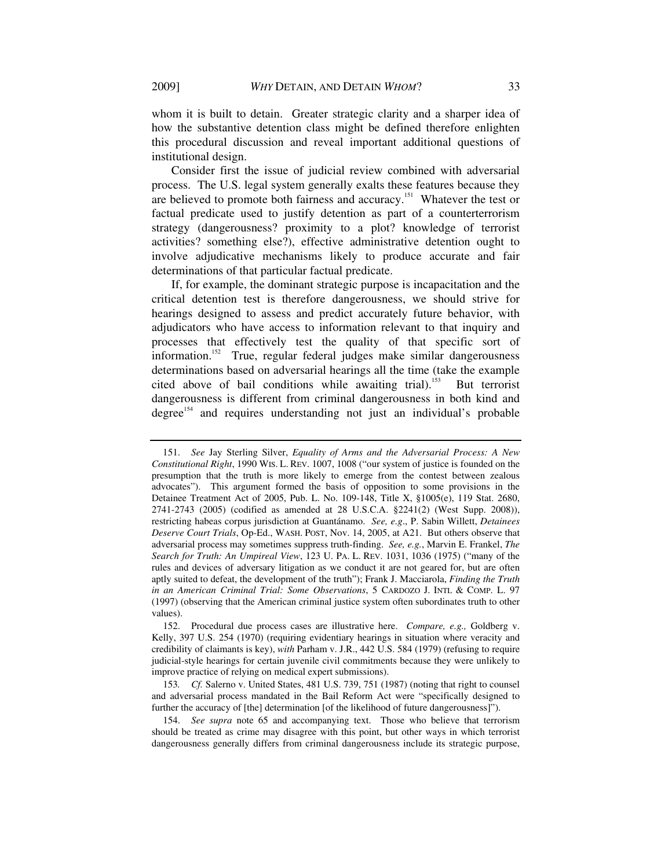whom it is built to detain. Greater strategic clarity and a sharper idea of how the substantive detention class might be defined therefore enlighten this procedural discussion and reveal important additional questions of institutional design.

Consider first the issue of judicial review combined with adversarial process. The U.S. legal system generally exalts these features because they are believed to promote both fairness and accuracy.151 Whatever the test or factual predicate used to justify detention as part of a counterterrorism strategy (dangerousness? proximity to a plot? knowledge of terrorist activities? something else?), effective administrative detention ought to involve adjudicative mechanisms likely to produce accurate and fair determinations of that particular factual predicate.

If, for example, the dominant strategic purpose is incapacitation and the critical detention test is therefore dangerousness, we should strive for hearings designed to assess and predict accurately future behavior, with adjudicators who have access to information relevant to that inquiry and processes that effectively test the quality of that specific sort of information.<sup>152</sup> True, regular federal judges make similar dangerousness determinations based on adversarial hearings all the time (take the example cited above of bail conditions while awaiting trial).<sup>153</sup> But terrorist dangerousness is different from criminal dangerousness in both kind and degree<sup>154</sup> and requires understanding not just an individual's probable

 <sup>151.</sup> *See* Jay Sterling Silver, *Equality of Arms and the Adversarial Process: A New Constitutional Right*, 1990 WIS. L. REV. 1007, 1008 ("our system of justice is founded on the presumption that the truth is more likely to emerge from the contest between zealous advocates"). This argument formed the basis of opposition to some provisions in the Detainee Treatment Act of 2005, Pub. L. No. 109-148, Title X, §1005(e), 119 Stat. 2680, 2741-2743 (2005) (codified as amended at 28 U.S.C.A. §2241(2) (West Supp. 2008)), restricting habeas corpus jurisdiction at Guantánamo. *See, e.g*., P. Sabin Willett, *Detainees Deserve Court Trials*, Op-Ed., WASH. POST, Nov. 14, 2005, at A21. But others observe that adversarial process may sometimes suppress truth-finding. *See, e.g.*, Marvin E. Frankel, *The Search for Truth: An Umpireal View*, 123 U. PA. L. REV. 1031, 1036 (1975) ("many of the rules and devices of adversary litigation as we conduct it are not geared for, but are often aptly suited to defeat, the development of the truth"); Frank J. Macciarola, *Finding the Truth in an American Criminal Trial: Some Observations*, 5 CARDOZO J. INTL & COMP. L. 97 (1997) (observing that the American criminal justice system often subordinates truth to other values).

 <sup>152.</sup> Procedural due process cases are illustrative here. *Compare, e.g.,* Goldberg v. Kelly, 397 U.S. 254 (1970) (requiring evidentiary hearings in situation where veracity and credibility of claimants is key), *with* Parham v. J.R., 442 U.S. 584 (1979) (refusing to require judicial-style hearings for certain juvenile civil commitments because they were unlikely to improve practice of relying on medical expert submissions).

<sup>153</sup>*. Cf.* Salerno v. United States, 481 U.S. 739, 751 (1987) (noting that right to counsel and adversarial process mandated in the Bail Reform Act were "specifically designed to further the accuracy of [the] determination [of the likelihood of future dangerousness]").

 <sup>154.</sup> *See supra* note 65 and accompanying text. Those who believe that terrorism should be treated as crime may disagree with this point, but other ways in which terrorist dangerousness generally differs from criminal dangerousness include its strategic purpose,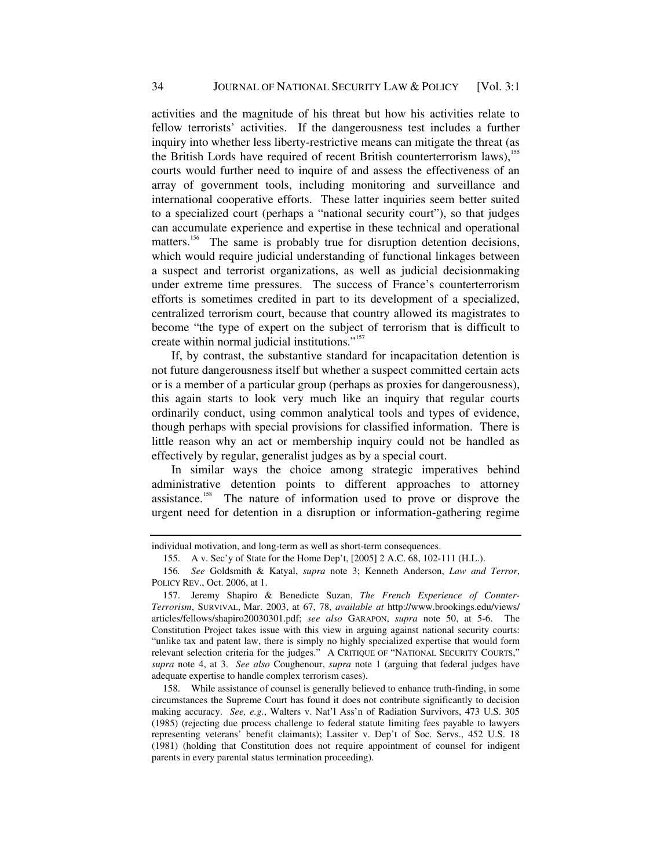activities and the magnitude of his threat but how his activities relate to fellow terrorists' activities. If the dangerousness test includes a further inquiry into whether less liberty-restrictive means can mitigate the threat (as the British Lords have required of recent British counterterrorism laws),<sup>155</sup> courts would further need to inquire of and assess the effectiveness of an array of government tools, including monitoring and surveillance and international cooperative efforts. These latter inquiries seem better suited to a specialized court (perhaps a "national security court"), so that judges can accumulate experience and expertise in these technical and operational matters.<sup>156</sup> The same is probably true for disruption detention decisions, which would require judicial understanding of functional linkages between a suspect and terrorist organizations, as well as judicial decisionmaking under extreme time pressures. The success of France's counterterrorism efforts is sometimes credited in part to its development of a specialized, centralized terrorism court, because that country allowed its magistrates to become "the type of expert on the subject of terrorism that is difficult to create within normal judicial institutions."<sup>157</sup>

If, by contrast, the substantive standard for incapacitation detention is not future dangerousness itself but whether a suspect committed certain acts or is a member of a particular group (perhaps as proxies for dangerousness), this again starts to look very much like an inquiry that regular courts ordinarily conduct, using common analytical tools and types of evidence, though perhaps with special provisions for classified information. There is little reason why an act or membership inquiry could not be handled as effectively by regular, generalist judges as by a special court.

In similar ways the choice among strategic imperatives behind administrative detention points to different approaches to attorney assistance.158 The nature of information used to prove or disprove the urgent need for detention in a disruption or information-gathering regime

individual motivation, and long-term as well as short-term consequences.

 <sup>155.</sup> A v. Sec'y of State for the Home Dep't, [2005] 2 A.C. 68, 102-111 (H.L.).

<sup>156</sup>*. See* Goldsmith & Katyal, *supra* note 3; Kenneth Anderson, *Law and Terror*, POLICY REV., Oct. 2006, at 1.

 <sup>157.</sup> Jeremy Shapiro & Benedicte Suzan, *The French Experience of Counter-Terrorism*, SURVIVAL, Mar. 2003, at 67, 78, *available at* http://www.brookings.edu/views/ articles/fellows/shapiro20030301.pdf; *see also* GARAPON, *supra* note 50, at 5-6. The Constitution Project takes issue with this view in arguing against national security courts: "unlike tax and patent law, there is simply no highly specialized expertise that would form relevant selection criteria for the judges." A CRITIQUE OF "NATIONAL SECURITY COURTS," *supra* note 4, at 3. *See also* Coughenour, *supra* note 1 (arguing that federal judges have adequate expertise to handle complex terrorism cases).

 <sup>158.</sup> While assistance of counsel is generally believed to enhance truth-finding, in some circumstances the Supreme Court has found it does not contribute significantly to decision making accuracy. *See, e.g.*, Walters v. Nat'l Ass'n of Radiation Survivors, 473 U.S. 305 (1985) (rejecting due process challenge to federal statute limiting fees payable to lawyers representing veterans' benefit claimants); Lassiter v. Dep't of Soc. Servs., 452 U.S. 18 (1981) (holding that Constitution does not require appointment of counsel for indigent parents in every parental status termination proceeding).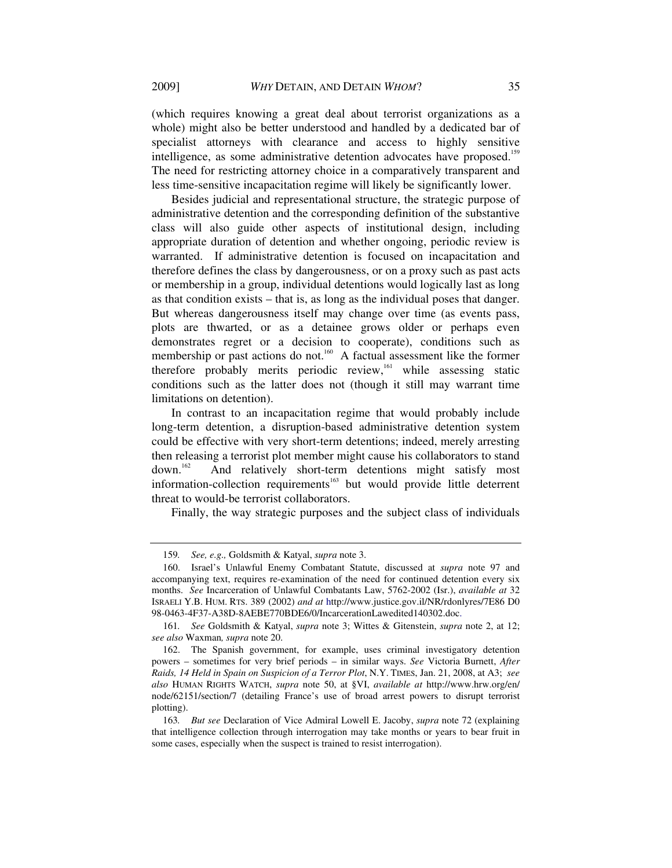(which requires knowing a great deal about terrorist organizations as a whole) might also be better understood and handled by a dedicated bar of specialist attorneys with clearance and access to highly sensitive intelligence, as some administrative detention advocates have proposed.<sup>159</sup> The need for restricting attorney choice in a comparatively transparent and less time-sensitive incapacitation regime will likely be significantly lower.

Besides judicial and representational structure, the strategic purpose of administrative detention and the corresponding definition of the substantive class will also guide other aspects of institutional design, including appropriate duration of detention and whether ongoing, periodic review is warranted. If administrative detention is focused on incapacitation and therefore defines the class by dangerousness, or on a proxy such as past acts or membership in a group, individual detentions would logically last as long as that condition exists – that is, as long as the individual poses that danger. But whereas dangerousness itself may change over time (as events pass, plots are thwarted, or as a detainee grows older or perhaps even demonstrates regret or a decision to cooperate), conditions such as membership or past actions do not.<sup>160</sup> A factual assessment like the former therefore probably merits periodic review,<sup>161</sup> while assessing static conditions such as the latter does not (though it still may warrant time limitations on detention).

In contrast to an incapacitation regime that would probably include long-term detention, a disruption-based administrative detention system could be effective with very short-term detentions; indeed, merely arresting then releasing a terrorist plot member might cause his collaborators to stand down.162 And relatively short-term detentions might satisfy most information-collection requirements<sup>163</sup> but would provide little deterrent threat to would-be terrorist collaborators.

Finally, the way strategic purposes and the subject class of individuals

<sup>159</sup>*. See, e.g.,* Goldsmith & Katyal, *supra* note 3.

 <sup>160.</sup> Israel's Unlawful Enemy Combatant Statute, discussed at *supra* note 97 and accompanying text, requires re-examination of the need for continued detention every six months. *See* Incarceration of Unlawful Combatants Law, 5762-2002 (Isr.), *available at* 32 ISRAELI Y.B. HUM. RTS. 389 (2002) *and at* http://www.justice.gov.il/NR/rdonlyres/7E86 D0 98-0463-4F37-A38D-8AEBE770BDE6/0/IncarcerationLawedited140302.doc.

<sup>161</sup>*. See* Goldsmith & Katyal, *supra* note 3; Wittes & Gitenstein, *supra* note 2, at 12; *see also* Waxman*, supra* note 20.

 <sup>162.</sup> The Spanish government, for example, uses criminal investigatory detention powers – sometimes for very brief periods – in similar ways. *See* Victoria Burnett, *After Raids, 14 Held in Spain on Suspicion of a Terror Plot*, N.Y. TIMES, Jan. 21, 2008, at A3; *see also* HUMAN RIGHTS WATCH, *supra* note 50, at §VI, *available at* http://www.hrw.org/en/ node/62151/section/7 (detailing France's use of broad arrest powers to disrupt terrorist plotting).

<sup>163</sup>*. But see* Declaration of Vice Admiral Lowell E. Jacoby, *supra* note 72 (explaining that intelligence collection through interrogation may take months or years to bear fruit in some cases, especially when the suspect is trained to resist interrogation).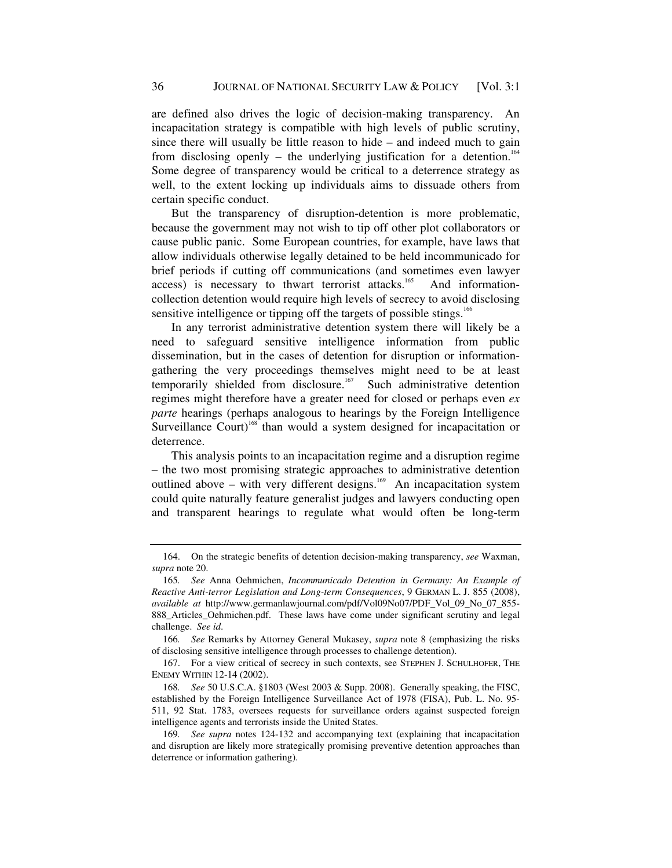are defined also drives the logic of decision-making transparency. An incapacitation strategy is compatible with high levels of public scrutiny, since there will usually be little reason to hide – and indeed much to gain from disclosing openly – the underlying justification for a detention.<sup>164</sup> Some degree of transparency would be critical to a deterrence strategy as well, to the extent locking up individuals aims to dissuade others from certain specific conduct.

But the transparency of disruption-detention is more problematic, because the government may not wish to tip off other plot collaborators or cause public panic. Some European countries, for example, have laws that allow individuals otherwise legally detained to be held incommunicado for brief periods if cutting off communications (and sometimes even lawyer access) is necessary to thwart terrorist attacks.<sup>165</sup> And informationcollection detention would require high levels of secrecy to avoid disclosing sensitive intelligence or tipping off the targets of possible stings.<sup>166</sup>

In any terrorist administrative detention system there will likely be a need to safeguard sensitive intelligence information from public dissemination, but in the cases of detention for disruption or informationgathering the very proceedings themselves might need to be at least temporarily shielded from disclosure.<sup>167</sup> Such administrative detention regimes might therefore have a greater need for closed or perhaps even *ex parte* hearings (perhaps analogous to hearings by the Foreign Intelligence Surveillance Court)<sup>168</sup> than would a system designed for incapacitation or deterrence.

This analysis points to an incapacitation regime and a disruption regime – the two most promising strategic approaches to administrative detention outlined above – with very different designs.<sup>169</sup> An incapacitation system could quite naturally feature generalist judges and lawyers conducting open and transparent hearings to regulate what would often be long-term

 <sup>164.</sup> On the strategic benefits of detention decision-making transparency, *see* Waxman, *supra* note 20.

<sup>165</sup>*. See* Anna Oehmichen, *Incommunicado Detention in Germany: An Example of Reactive Anti-terror Legislation and Long-term Consequences*, 9 GERMAN L. J. 855 (2008), *available at* http://www.germanlawjournal.com/pdf/Vol09No07/PDF\_Vol\_09\_No\_07\_855- 888\_Articles\_Oehmichen.pdf. These laws have come under significant scrutiny and legal challenge. *See id*.

<sup>166</sup>*. See* Remarks by Attorney General Mukasey, *supra* note 8 (emphasizing the risks of disclosing sensitive intelligence through processes to challenge detention).

 <sup>167.</sup> For a view critical of secrecy in such contexts, see STEPHEN J. SCHULHOFER, THE ENEMY WITHIN 12-14 (2002).

<sup>168</sup>*. See* 50 U.S.C.A. §1803 (West 2003 & Supp. 2008). Generally speaking, the FISC, established by the Foreign Intelligence Surveillance Act of 1978 (FISA), Pub. L. No. 95- 511, 92 Stat. 1783, oversees requests for surveillance orders against suspected foreign intelligence agents and terrorists inside the United States.

<sup>169</sup>*. See supra* notes 124-132 and accompanying text (explaining that incapacitation and disruption are likely more strategically promising preventive detention approaches than deterrence or information gathering).